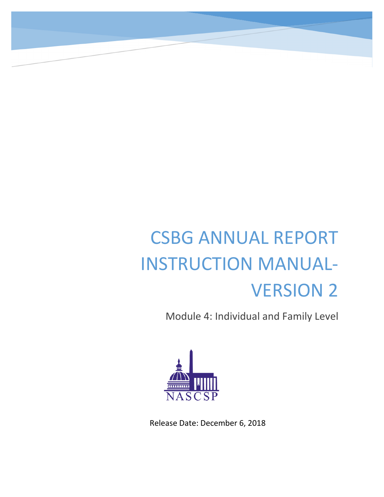# CSBG ANNUAL REPORT INSTRUCTION MANUAL-VERSION 2

Module 4: Individual and Family Level



Release Date: December 6, 2018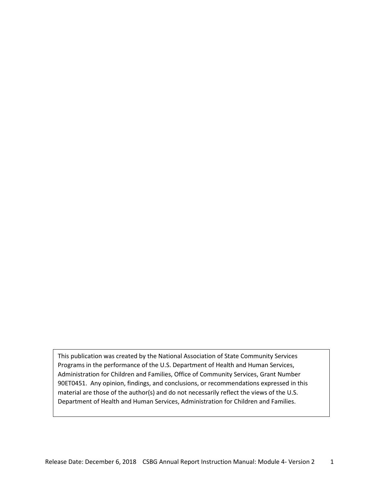This publication was created by the National Association of State Community Services Programs in the performance of the U.S. Department of Health and Human Services, Administration for Children and Families, Office of Community Services, Grant Number 90ET0451. Any opinion, findings, and conclusions, or recommendations expressed in this material are those of the author(s) and do not necessarily reflect the views of the U.S. Department of Health and Human Services, Administration for Children and Families.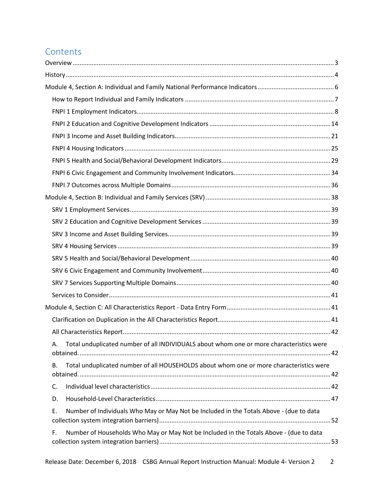# **Contents**

| Total unduplicated number of all INDIVIDUALS about whom one or more characteristics were<br>А.       |  |
|------------------------------------------------------------------------------------------------------|--|
| Total unduplicated number of all HOUSEHOLDS about whom one or more characteristics were<br><b>B.</b> |  |
| C.                                                                                                   |  |
| D.                                                                                                   |  |
| Number of Individuals Who May or May Not be Included in the Totals Above - (due to data<br>Ε.        |  |
| Number of Households Who May or May Not be Included in the Totals Above - (due to data<br>F.         |  |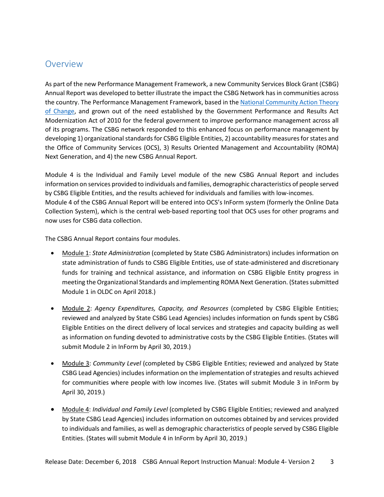# <span id="page-3-0"></span>**Overview**

As part of the new Performance Management Framework, a new Community Services Block Grant (CSBG) Annual Report was developed to better illustrate the impact the CSBG Network has in communities across the country. The Performance Management Framework, based in the [National Community Action Theory](http://www.nascsp.org/ROMA-Next-Generation/952/Theory-of-Change.aspx?iHt=27)  [of Change,](http://www.nascsp.org/ROMA-Next-Generation/952/Theory-of-Change.aspx?iHt=27) and grown out of the need established by the Government Performance and Results Act Modernization Act of 2010 for the federal government to improve performance management across all of its programs. The CSBG network responded to this enhanced focus on performance management by developing 1) organizational standards for CSBG Eligible Entities, 2) accountability measures for states and the Office of Community Services (OCS), 3) Results Oriented Management and Accountability (ROMA) Next Generation, and 4) the new CSBG Annual Report.

Module 4 is the Individual and Family Level module of the new CSBG Annual Report and includes information on services provided to individuals and families, demographic characteristics of people served by CSBG Eligible Entities, and the results achieved for individuals and families with low-incomes. Module 4 of the CSBG Annual Report will be entered into OCS's InForm system (formerly the Online Data Collection System), which is the central web-based reporting tool that OCS uses for other programs and now uses for CSBG data collection.

The CSBG Annual Report contains four modules.

- Module 1: *State Administration* (completed by State CSBG Administrators) includes information on state administration of funds to CSBG Eligible Entities, use of state-administered and discretionary funds for training and technical assistance, and information on CSBG Eligible Entity progress in meeting the Organizational Standards and implementing ROMA Next Generation. (States submitted Module 1 in OLDC on April 2018.)
- Module 2: *Agency Expenditures, Capacity, and Resources* (completed by CSBG Eligible Entities; reviewed and analyzed by State CSBG Lead Agencies) includes information on funds spent by CSBG Eligible Entities on the direct delivery of local services and strategies and capacity building as well as information on funding devoted to administrative costs by the CSBG Eligible Entities. (States will submit Module 2 in InForm by April 30, 2019.)
- Module 3: *Community Level* (completed by CSBG Eligible Entities; reviewed and analyzed by State CSBG Lead Agencies) includes information on the implementation of strategies and results achieved for communities where people with low incomes live. (States will submit Module 3 in InForm by April 30, 2019.)
- Module 4: *Individual and Family Level* (completed by CSBG Eligible Entities; reviewed and analyzed by State CSBG Lead Agencies) includes information on outcomes obtained by and services provided to individuals and families, as well as demographic characteristics of people served by CSBG Eligible Entities. (States will submit Module 4 in InForm by April 30, 2019.)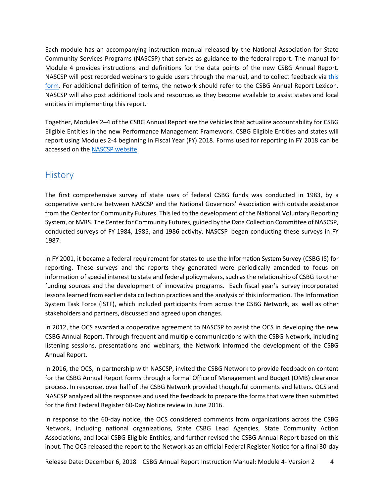Each module has an accompanying instruction manual released by the National Association for State Community Services Programs (NASCSP) that serves as guidance to the federal report. The manual for Module 4 provides instructions and definitions for the data points of the new CSBG Annual Report. NASCSP will post recorded webinars to guide users through the manual, and to collect feedback via this [form.](https://docs.google.com/forms/d/18p68hpqAhyXVBIn1nQcs69gNRI4v7r2FovA0B_D3tUw/viewform?edit_requested=true) For additional definition of terms, the network should refer to the CSBG Annual Report Lexicon. NASCSP will also post additional tools and resources as they become available to assist states and local entities in implementing this report.

Together, Modules 2–4 of the CSBG Annual Report are the vehicles that actualize accountability for CSBG Eligible Entities in the new Performance Management Framework. CSBG Eligible Entities and states will report using Modules 2-4 beginning in Fiscal Year (FY) 2018. Forms used for reporting in FY 2018 can be accessed on the [NASCSP website.](http://www.nascsp.org/)

# <span id="page-4-0"></span>**History**

The first comprehensive survey of state uses of federal CSBG funds was conducted in 1983, by a cooperative venture between NASCSP and the National Governors' Association with outside assistance from the Center for Community Futures. This led to the development of the National Voluntary Reporting System, or NVRS. The Center for Community Futures, guided by the Data Collection Committee of NASCSP, conducted surveys of FY 1984, 1985, and 1986 activity. NASCSP began conducting these surveys in FY 1987.

In FY 2001, it became a federal requirement for states to use the Information System Survey (CSBG IS) for reporting. These surveys and the reports they generated were periodically amended to focus on information of special interest to state and federal policymakers, such as the relationship of CSBG to other funding sources and the development of innovative programs. Each fiscal year's survey incorporated lessons learned from earlier data collection practices and the analysis of this information. The Information System Task Force (ISTF), which included participants from across the CSBG Network, as well as other stakeholders and partners, discussed and agreed upon changes.

In 2012, the OCS awarded a cooperative agreement to NASCSP to assist the OCS in developing the new CSBG Annual Report. Through frequent and multiple communications with the CSBG Network, including listening sessions, presentations and webinars, the Network informed the development of the CSBG Annual Report.

In 2016, the OCS, in partnership with NASCSP, invited the CSBG Network to provide feedback on content for the CSBG Annual Report forms through a formal Office of Management and Budget (OMB) clearance process. In response, over half of the CSBG Network provided thoughtful comments and letters. OCS and NASCSP analyzed all the responses and used the feedback to prepare the forms that were then submitted for the first Federal Register 60-Day Notice review in June 2016.

In response to the 60-day notice, the OCS considered comments from organizations across the CSBG Network, including national organizations, State CSBG Lead Agencies, State Community Action Associations, and local CSBG Eligible Entities, and further revised the CSBG Annual Report based on this input. The OCS released the report to the Network as an official Federal Register Notice for a final 30-day

Release Date: December 6, 2018 CSBG Annual Report Instruction Manual: Module 4- Version 2 4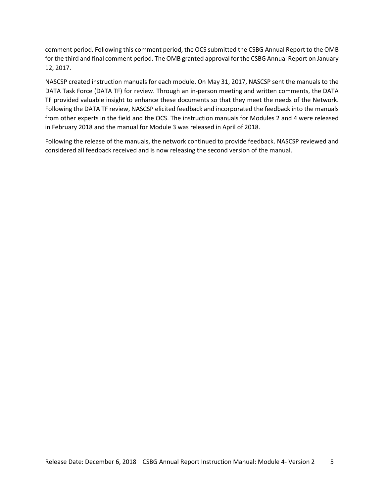comment period. Following this comment period, the OCS submitted the CSBG Annual Report to the OMB for the third and final comment period. The OMB granted approval for the CSBG Annual Report on January 12, 2017.

NASCSP created instruction manuals for each module. On May 31, 2017, NASCSP sent the manuals to the DATA Task Force (DATA TF) for review. Through an in-person meeting and written comments, the DATA TF provided valuable insight to enhance these documents so that they meet the needs of the Network. Following the DATA TF review, NASCSP elicited feedback and incorporated the feedback into the manuals from other experts in the field and the OCS. The instruction manuals for Modules 2 and 4 were released in February 2018 and the manual for Module 3 was released in April of 2018.

Following the release of the manuals, the network continued to provide feedback. NASCSP reviewed and considered all feedback received and is now releasing the second version of the manual.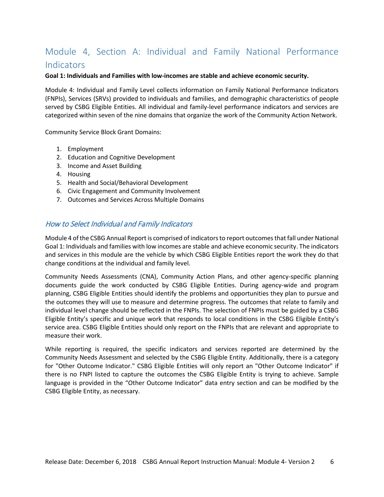# <span id="page-6-0"></span>Module 4, Section A: Individual and Family National Performance **Indicators**

#### **Goal 1: Individuals and Families with low-incomes are stable and achieve economic security.**

Module 4: Individual and Family Level collects information on Family National Performance Indicators (FNPIs), Services (SRVs) provided to individuals and families, and demographic characteristics of people served by CSBG Eligible Entities. All individual and family-level performance indicators and services are categorized within seven of the nine domains that organize the work of the Community Action Network.

Community Service Block Grant Domains:

- 1. Employment
- 2. Education and Cognitive Development
- 3. Income and Asset Building
- 4. Housing
- 5. Health and Social/Behavioral Development
- 6. Civic Engagement and Community Involvement
- 7. Outcomes and Services Across Multiple Domains

## How to Select Individual and Family Indicators

Module 4 of the CSBG Annual Report is comprised of indicatorsto report outcomes that fall under National Goal 1: Individuals and families with low incomes are stable and achieve economic security. The indicators and services in this module are the vehicle by which CSBG Eligible Entities report the work they do that change conditions at the individual and family level.

Community Needs Assessments (CNA), Community Action Plans, and other agency-specific planning documents guide the work conducted by CSBG Eligible Entities. During agency-wide and program planning, CSBG Eligible Entities should identify the problems and opportunities they plan to pursue and the outcomes they will use to measure and determine progress. The outcomes that relate to family and individual level change should be reflected in the FNPIs. The selection of FNPIs must be guided by a CSBG Eligible Entity's specific and unique work that responds to local conditions in the CSBG Eligible Entity's service area. CSBG Eligible Entities should only report on the FNPIs that are relevant and appropriate to measure their work.

While reporting is required, the specific indicators and services reported are determined by the Community Needs Assessment and selected by the CSBG Eligible Entity. Additionally, there is a category for "Other Outcome Indicator." CSBG Eligible Entities will only report an "Other Outcome Indicator" if there is no FNPI listed to capture the outcomes the CSBG Eligible Entity is trying to achieve. Sample language is provided in the "Other Outcome Indicator" data entry section and can be modified by the CSBG Eligible Entity, as necessary.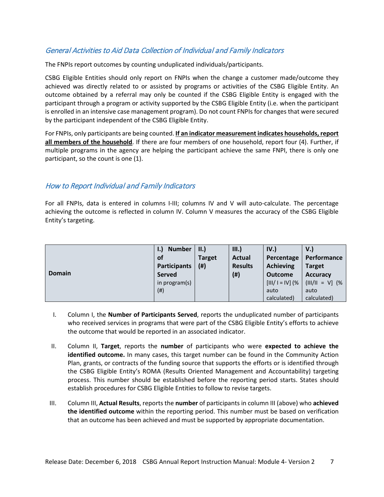## General Activities to Aid Data Collection of Individual and Family Indicators

The FNPIs report outcomes by counting unduplicated individuals/participants.

CSBG Eligible Entities should only report on FNPIs when the change a customer made/outcome they achieved was directly related to or assisted by programs or activities of the CSBG Eligible Entity. An outcome obtained by a referral may only be counted if the CSBG Eligible Entity is engaged with the participant through a program or activity supported by the CSBG Eligible Entity (i.e. when the participant is enrolled in an intensive case management program). Do not count FNPIs for changes that were secured by the participant independent of the CSBG Eligible Entity.

For FNPIs, only participants are being counted. **If an indicator measurement indicates households, report all members of the household**. If there are four members of one household, report four (4). Further, if multiple programs in the agency are helping the participant achieve the same FNPI, there is only one participant, so the count is one (1).

## <span id="page-7-0"></span>How to Report Individual and Family Indicators

For all FNPIs, data is entered in columns I-III; columns IV and V will auto-calculate. The percentage achieving the outcome is reflected in column IV. Column V measures the accuracy of the CSBG Eligible Entity's targeting.

|               | <b>Number</b>       | II.           | $III.$ )       | IV.               | V.                 |
|---------------|---------------------|---------------|----------------|-------------------|--------------------|
|               | οf                  | <b>Target</b> | <b>Actual</b>  | Percentage        | Performance        |
|               | <b>Participants</b> | $($ # $)$     | <b>Results</b> | <b>Achieving</b>  | <b>Target</b>      |
| <b>Domain</b> | <b>Served</b>       |               | $($ # $)$      | <b>Outcome</b>    | <b>Accuracy</b>    |
|               | in program(s)       |               |                | $[III/I = IV]$ (% | $(III/II = V]$ (%) |
|               | $($ # $)$           |               |                | auto              | auto               |
|               |                     |               |                | calculated)       | calculated)        |

- I. Column I, the **Number of Participants Served**, reports the unduplicated number of participants who received services in programs that were part of the CSBG Eligible Entity's efforts to achieve the outcome that would be reported in an associated indicator.
- II. Column II, **Target**, reports the **number** of participants who were **expected to achieve the identified outcome.** In many cases, this target number can be found in the Community Action Plan, grants, or contracts of the funding source that supports the efforts or is identified through the CSBG Eligible Entity's ROMA (Results Oriented Management and Accountability) targeting process. This number should be established before the reporting period starts. States should establish procedures for CSBG Eligible Entities to follow to revise targets.
- III. Column III, **Actual Results**, reports the **number** of participants in column III (above) who **achieved the identified outcome** within the reporting period. This number must be based on verification that an outcome has been achieved and must be supported by appropriate documentation.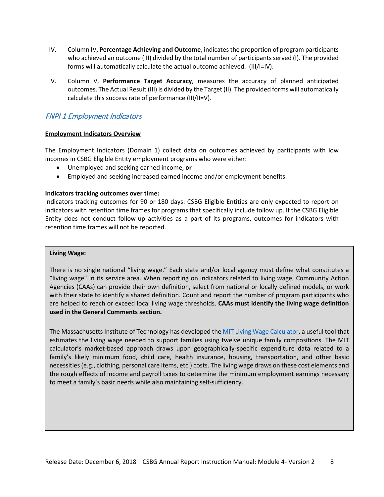- IV. Column IV, **Percentage Achieving and Outcome**, indicates the proportion of program participants who achieved an outcome (III) divided by the total number of participants served (I). The provided forms will automatically calculate the actual outcome achieved. (III/I=IV).
- V. Column V, **Performance Target Accuracy**, measures the accuracy of planned anticipated outcomes. The Actual Result (III) is divided by the Target (II). The provided forms will automatically calculate this success rate of performance (III/II=V).

## <span id="page-8-0"></span>FNPI 1 Employment Indicators

#### **Employment Indicators Overview**

The Employment Indicators (Domain 1) collect data on outcomes achieved by participants with low incomes in CSBG Eligible Entity employment programs who were either:

- Unemployed and seeking earned income, **or**
- Employed and seeking increased earned income and/or employment benefits.

#### **Indicators tracking outcomes over time:**

Indicators tracking outcomes for 90 or 180 days: CSBG Eligible Entities are only expected to report on indicators with retention time frames for programs that specifically include follow up. If the CSBG Eligible Entity does not conduct follow-up activities as a part of its programs, outcomes for indicators with retention time frames will not be reported.

#### **Living Wage:**

There is no single national "living wage." Each state and/or local agency must define what constitutes a "living wage" in its service area. When reporting on indicators related to living wage, Community Action Agencies (CAAs) can provide their own definition, select from national or locally defined models, or work with their state to identify a shared definition. Count and report the number of program participants who are helped to reach or exceed local living wage thresholds. **CAAs must identify the living wage definition used in the General Comments section.**

The Massachusetts Institute of Technology has developed th[e MIT Living Wage Calculator,](http://livingwage.mit.edu/pages/about) a useful tool that estimates the living wage needed to support families using twelve unique family compositions. The MIT calculator's market-based approach draws upon geographically-specific expenditure data related to a family's likely minimum food, child care, health insurance, housing, transportation, and other basic necessities(e.g., clothing, personal care items, etc.) costs. The living wage draws on these cost elements and the rough effects of income and payroll taxes to determine the minimum employment earnings necessary to meet a family's basic needs while also maintaining self-sufficiency.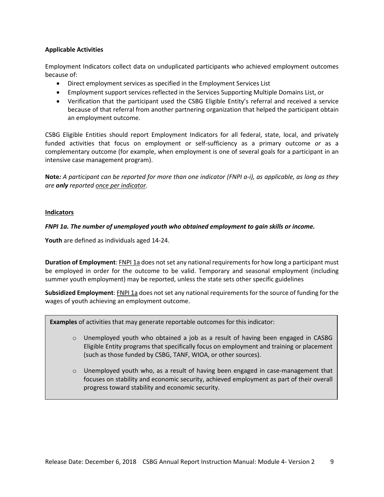#### **Applicable Activities**

Employment Indicators collect data on unduplicated participants who achieved employment outcomes because of:

- Direct employment services as specified in the Employment Services List
- Employment support services reflected in the Services Supporting Multiple Domains List, or
- Verification that the participant used the CSBG Eligible Entity's referral and received a service because of that referral from another partnering organization that helped the participant obtain an employment outcome.

CSBG Eligible Entities should report Employment Indicators for all federal, state, local, and privately funded activities that focus on employment or self-sufficiency as a primary outcome *or* as a complementary outcome (for example, when employment is one of several goals for a participant in an intensive case management program).

**Note***: A participant can be reported for more than one indicator (FNPI a-i), as applicable, as long as they are only reported once per indicator.*

#### **Indicators**

#### *FNPI 1a. The number of unemployed youth who obtained employment to gain skills or income.*

**Youth** are defined as individuals aged 14-24.

**Duration of Employment**: FNPI 1a does not set any national requirements for how long a participant must be employed in order for the outcome to be valid. Temporary and seasonal employment (including summer youth employment) may be reported, unless the state sets other specific guidelines

**Subsidized Employment**: FNPI 1a does not set any national requirements for the source of funding for the wages of youth achieving an employment outcome.

**Examples** of activities that may generate reportable outcomes for this indicator:

- o Unemployed youth who obtained a job as a result of having been engaged in CASBG Eligible Entity programs that specifically focus on employment and training or placement (such as those funded by CSBG, TANF, WIOA, or other sources).
- $\circ$  Unemployed youth who, as a result of having been engaged in case-management that focuses on stability and economic security, achieved employment as part of their overall progress toward stability and economic security.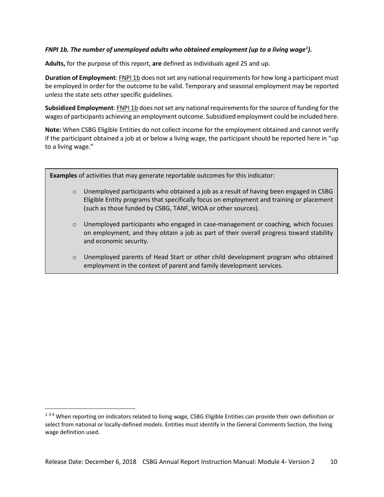## *FNPI 1b. The number of unemployed adults who obtained employment (up to a living wage[1](#page-10-0) ).*

**Adults,** for the purpose of this report, **are** defined as individuals aged 25 and up.

**Duration of Employment**: FNPI 1b does not set any national requirements for how long a participant must be employed in order for the outcome to be valid. Temporary and seasonal employment may be reported unless the state sets other specific guidelines.

**Subsidized Employment**: FNPI 1b does not set any national requirements for the source of funding for the wages of participants achieving an employment outcome. Subsidized employment could be included here.

**Note:** When CSBG Eligible Entities do not collect income for the employment obtained and cannot verify if the participant obtained a job at or below a living wage, the participant should be reported here in "up to a living wage."

**Examples** of activities that may generate reportable outcomes for this indicator:

- o Unemployed participants who obtained a job as a result of having been engaged in CSBG Eligible Entity programs that specifically focus on employment and training or placement (such as those funded by CSBG, TANF, WIOA or other sources).
- $\circ$  Unemployed participants who engaged in case-management or coaching, which focuses on employment, and they obtain a job as part of their overall progress toward stability and economic security.
- o Unemployed parents of Head Start or other child development program who obtained employment in the context of parent and family development services.

<span id="page-10-0"></span><sup>&</sup>lt;sup>134</sup> When reporting on indicators related to living wage, CSBG Eligible Entities can provide their own definition or select from national or locally-defined models. Entities must identify in the General Comments Section, the living wage definition used.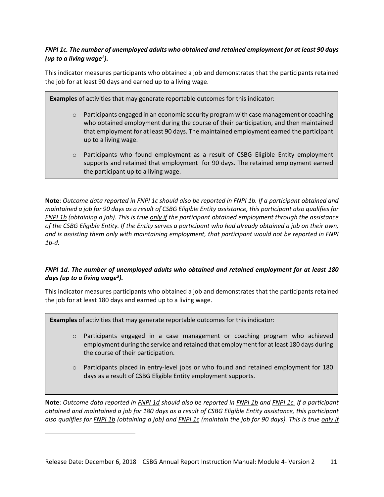## *FNPI 1c. The number of unemployed adults who obtained and retained employment for at least 90 days (up to a living wage[2](#page-11-0) ).*

This indicator measures participants who obtained a job and demonstrates that the participants retained the job for at least 90 days and earned up to a living wage.

**Examples** of activities that may generate reportable outcomes for this indicator:

- $\circ$  Participants engaged in an economic security program with case management or coaching who obtained employment during the course of their participation, and then maintained that employment for at least 90 days. The maintained employment earned the participant up to a living wage.
- $\circ$  Participants who found employment as a result of CSBG Eligible Entity employment supports and retained that employment for 90 days. The retained employment earned the participant up to a living wage.

**Note**: *Outcome data reported in FNPI 1c should also be reported in FNPI 1b. If a participant obtained and maintained a job for 90 days as a result of CSBG Eligible Entity assistance, this participant also qualifies for FNPI 1b (obtaining a job). This is true only if the participant obtained employment through the assistance of the CSBG Eligible Entity. If the Entity serves a participant who had already obtained a job on their own, and is assisting them only with maintaining employment, that participant would not be reported in FNPI 1b-d.* 

## *FNPI 1d. The number of unemployed adults who obtained and retained employment for at least 180 days (up to a living wage[3](#page-11-1) ).*

This indicator measures participants who obtained a job and demonstrates that the participants retained the job for at least 180 days and earned up to a living wage.

**Examples** of activities that may generate reportable outcomes for this indicator:

<span id="page-11-1"></span><span id="page-11-0"></span>l

- o Participants engaged in a case management or coaching program who achieved employment during the service and retained that employment for at least 180 days during the course of their participation.
- o Participants placed in entry-level jobs or who found and retained employment for 180 days as a result of CSBG Eligible Entity employment supports.

**Note**: *Outcome data reported in FNPI 1d should also be reported in FNPI 1b and FNPI 1c. If a participant obtained and maintained a job for 180 days as a result of CSBG Eligible Entity assistance, this participant also qualifies for FNPI 1b (obtaining a job) and FNPI 1c (maintain the job for 90 days). This is true only if*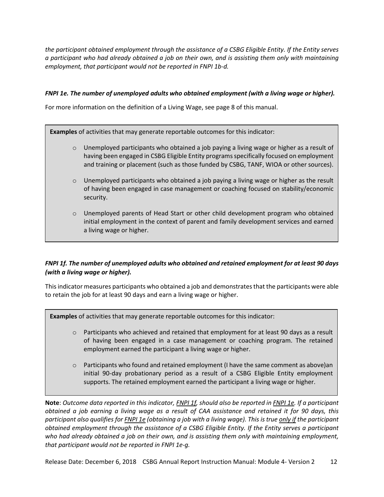*the participant obtained employment through the assistance of a CSBG Eligible Entity. If the Entity serves a participant who had already obtained a job on their own, and is assisting them only with maintaining employment, that participant would not be reported in FNPI 1b-d.* 

## *FNPI 1e. The number of unemployed adults who obtained employment (with a living wage or higher).*

For more information on the definition of a Living Wage, see page 8 of this manual.

**Examples** of activities that may generate reportable outcomes for this indicator:

- $\circ$  Unemployed participants who obtained a job paying a living wage or higher as a result of having been engaged in CSBG Eligible Entity programs specifically focused on employment and training or placement (such as those funded by CSBG, TANF, WIOA or other sources).
- $\circ$  Unemployed participants who obtained a job paying a living wage or higher as the result of having been engaged in case management or coaching focused on stability/economic security.
- o Unemployed parents of Head Start or other child development program who obtained initial employment in the context of parent and family development services and earned a living wage or higher.

## *FNPI 1f. The number of unemployed adults who obtained and retained employment for at least 90 days (with a living wage or higher).*

This indicator measures participants who obtained a job and demonstratesthat the participants were able to retain the job for at least 90 days and earn a living wage or higher.

**Examples** of activities that may generate reportable outcomes for this indicator:

- $\circ$  Participants who achieved and retained that employment for at least 90 days as a result of having been engaged in a case management or coaching program. The retained employment earned the participant a living wage or higher.
- $\circ$  Participants who found and retained employment (I have the same comment as above)an initial 90-day probationary period as a result of a CSBG Eligible Entity employment supports. The retained employment earned the participant a living wage or higher.

**Note**: *Outcome data reported in this indicator, FNPI 1f, should also be reported in FNPI 1e. If a participant obtained a job earning a living wage as a result of CAA assistance and retained it for 90 days, this participant also qualifies for FNPI 1e (obtaining a job with a living wage). This is true only if the participant obtained employment through the assistance of a CSBG Eligible Entity. If the Entity serves a participant who had already obtained a job on their own, and is assisting them only with maintaining employment, that participant would not be reported in FNPI 1e-g.*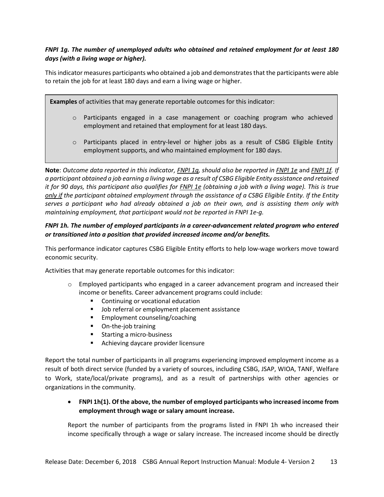## *FNPI 1g. The number of unemployed adults who obtained and retained employment for at least 180 days (with a living wage or higher).*

This indicator measures participants who obtained a job and demonstrates that the participants were able to retain the job for at least 180 days and earn a living wage or higher.

**Examples** of activities that may generate reportable outcomes for this indicator:

- o Participants engaged in a case management or coaching program who achieved employment and retained that employment for at least 180 days.
- o Participants placed in entry-level or higher jobs as a result of CSBG Eligible Entity employment supports, and who maintained employment for 180 days.

**Note**: *Outcome data reported in this indicator, FNPI 1g, should also be reported in FNPI 1e* and *FNPI 1f. If a participant obtained a job earning a living wage as a result of CSBG Eligible Entity assistance and retained it for 90 days, this participant also qualifies for FNPI 1e (obtaining a job with a living wage). This is true only if the participant obtained employment through the assistance of a CSBG Eligible Entity. If the Entity serves a participant who had already obtained a job on their own, and is assisting them only with maintaining employment, that participant would not be reported in FNPI 1e-g.* 

## *FNPI 1h. The number of employed participants in a career-advancement related program who entered or transitioned into a position that provided increased income and/or benefits.*

This performance indicator captures CSBG Eligible Entity efforts to help low-wage workers move toward economic security.

Activities that may generate reportable outcomes for this indicator:

- $\circ$  Employed participants who engaged in a career advancement program and increased their income or benefits. Career advancement programs could include:
	- Continuing or vocational education
	- **Job referral or employment placement assistance**
	- **Employment counseling/coaching**
	- On-the-job training
	- **Starting a micro-business**
	- Achieving daycare provider licensure

Report the total number of participants in all programs experiencing improved employment income as a result of both direct service (funded by a variety of sources, including CSBG, JSAP, WIOA, TANF, Welfare to Work, state/local/private programs), and as a result of partnerships with other agencies or organizations in the community.

## • **FNPI 1h(1). Of the above, the number of employed participants who increased income from employment through wage or salary amount increase.**

Report the number of participants from the programs listed in FNPI 1h who increased their income specifically through a wage or salary increase. The increased income should be directly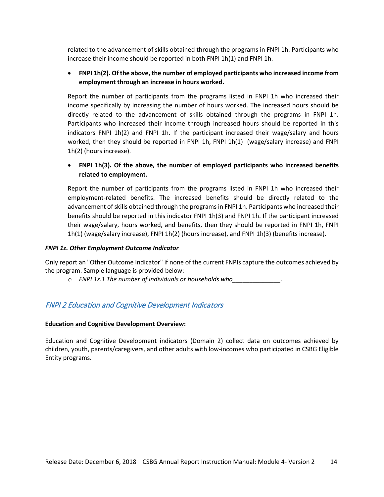related to the advancement of skills obtained through the programs in FNPI 1h. Participants who increase their income should be reported in both FNPI 1h(1) and FNPI 1h.

## • **FNPI 1h(2). Of the above, the number of employed participants who increased income from employment through an increase in hours worked.**

Report the number of participants from the programs listed in FNPI 1h who increased their income specifically by increasing the number of hours worked. The increased hours should be directly related to the advancement of skills obtained through the programs in FNPI 1h. Participants who increased their income through increased hours should be reported in this indicators FNPI 1h(2) and FNPI 1h. If the participant increased their wage/salary and hours worked, then they should be reported in FNPI 1h, FNPI 1h(1) (wage/salary increase) and FNPI 1h(2) (hours increase).

## • **FNPI 1h(3). Of the above, the number of employed participants who increased benefits related to employment.**

Report the number of participants from the programs listed in FNPI 1h who increased their employment-related benefits. The increased benefits should be directly related to the advancement of skills obtained through the programs in FNPI 1h. Participants who increased their benefits should be reported in this indicator FNPI 1h(3) and FNPI 1h. If the participant increased their wage/salary, hours worked, and benefits, then they should be reported in FNPI 1h, FNPI 1h(1) (wage/salary increase), FNPI 1h(2) (hours increase), and FNPI 1h(3) (benefits increase).

#### *FNPI 1z. Other Employment Outcome Indicator*

Only report an "Other Outcome Indicator" if none of the current FNPIs capture the outcomes achieved by the program. Sample language is provided below:

o *FNPI 1z.1 The number of individuals or households who\_\_\_\_\_\_\_\_\_\_\_\_\_\_.*

## <span id="page-14-0"></span>FNPI 2 Education and Cognitive Development Indicators

#### **Education and Cognitive Development Overview:**

Education and Cognitive Development indicators (Domain 2) collect data on outcomes achieved by children, youth, parents/caregivers, and other adults with low-incomes who participated in CSBG Eligible Entity programs.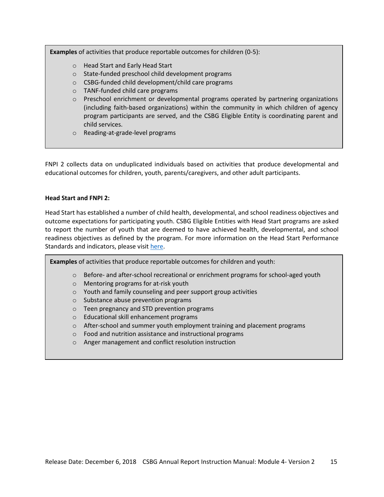**Examples** of activities that produce reportable outcomes for children (0-5):

- o Head Start and Early Head Start
- o State-funded preschool child development programs
- o CSBG-funded child development/child care programs
- o TANF-funded child care programs
- $\circ$  Preschool enrichment or developmental programs operated by partnering organizations (including faith-based organizations) within the community in which children of agency program participants are served, and the CSBG Eligible Entity is coordinating parent and child services.
- o Reading-at-grade-level programs

FNPI 2 collects data on unduplicated individuals based on activities that produce developmental and educational outcomes for children, youth, parents/caregivers, and other adult participants.

#### **Head Start and FNPI 2:**

Head Start has established a number of child health, developmental, and school readiness objectives and outcome expectations for participating youth. CSBG Eligible Entities with Head Start programs are asked to report the number of youth that are deemed to have achieved health, developmental, and school readiness objectives as defined by the program. For more information on the Head Start Performance Standards and indicators, please visit [here.](https://eclkc.ohs.acf.hhs.gov/policy)

**Examples** of activities that produce reportable outcomes for children and youth:

- $\circ$  Before- and after-school recreational or enrichment programs for school-aged youth
- o Mentoring programs for at-risk youth
- o Youth and family counseling and peer support group activities
- o Substance abuse prevention programs
- o Teen pregnancy and STD prevention programs
- o Educational skill enhancement programs
- $\circ$  After-school and summer youth employment training and placement programs
- o Food and nutrition assistance and instructional programs
- o Anger management and conflict resolution instruction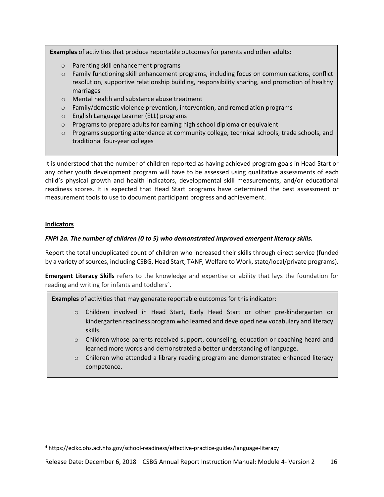**Examples** of activities that produce reportable outcomes for parents and other adults:

- o Parenting skill enhancement programs
- $\circ$  Family functioning skill enhancement programs, including focus on communications, conflict resolution, supportive relationship building, responsibility sharing, and promotion of healthy marriages
- o Mental health and substance abuse treatment
- $\circ$  Family/domestic violence prevention, intervention, and remediation programs
- o English Language Learner (ELL) programs
- o Programs to prepare adults for earning high school diploma or equivalent
- o Programs supporting attendance at community college, technical schools, trade schools, and traditional four-year colleges

It is understood that the number of children reported as having achieved program goals in Head Start or any other youth development program will have to be assessed using qualitative assessments of each child's physical growth and health indicators, developmental skill measurements, and/or educational readiness scores. It is expected that Head Start programs have determined the best assessment or measurement tools to use to document participant progress and achievement.

#### **Indicators**

#### *FNPI 2a. The number of children (0 to 5) who demonstrated improved emergent literacy skills.*

Report the total unduplicated count of children who increased their skills through direct service (funded by a variety of sources, including CSBG, Head Start, TANF, Welfare to Work, state/local/private programs).

**Emergent Literacy Skills** refers to the knowledge and expertise or ability that lays the foundation for reading and writing for infants and toddlers<sup>[4](#page-16-0)</sup>.

**Examples** of activities that may generate reportable outcomes for this indicator:

- o Children involved in Head Start, Early Head Start or other pre-kindergarten or kindergarten readiness program who learned and developed new vocabulary and literacy skills.
- $\circ$  Children whose parents received support, counseling, education or coaching heard and learned more words and demonstrated a better understanding of language.
- $\circ$  Children who attended a library reading program and demonstrated enhanced literacy competence.

<span id="page-16-0"></span> <sup>4</sup> https://eclkc.ohs.acf.hhs.gov/school-readiness/effective-practice-guides/language-literacy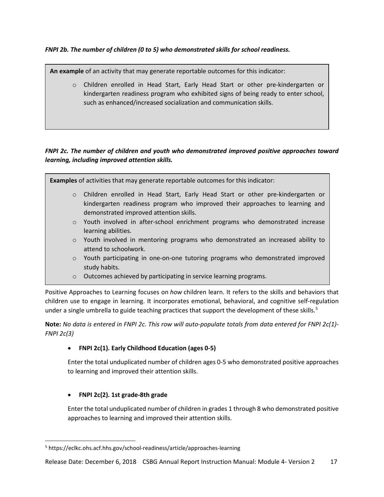## *FNPI 2b. The number of children (0 to 5) who demonstrated skills for school readiness.*

**An example** of an activity that may generate reportable outcomes for this indicator:

o Children enrolled in Head Start, Early Head Start or other pre-kindergarten or kindergarten readiness program who exhibited signs of being ready to enter school, such as enhanced/increased socialization and communication skills.

## *FNPI 2c. The number of children and youth who demonstrated improved positive approaches toward learning, including improved attention skills.*

**Examples** of activities that may generate reportable outcomes for this indicator: o Children enrolled in Head Start, Early Head Start or other pre-kindergarten or kindergarten readiness program who improved their approaches to learning and demonstrated improved attention skills. o Youth involved in after-school enrichment programs who demonstrated increase learning abilities. o Youth involved in mentoring programs who demonstrated an increased ability to attend to schoolwork.  $\circ$  Youth participating in one-on-one tutoring programs who demonstrated improved

study habits. o Outcomes achieved by participating in service learning programs.

Positive Approaches to Learning focuses on *how* children learn. It refers to the skills and behaviors that children use to engage in learning. It incorporates emotional, behavioral, and cognitive self-regulation under a single umbrella to guide teaching practices that support the development of these skills.<sup>[5](#page-17-0)</sup>

**Note:** *No data is entered in FNPI 2c. This row will auto-populate totals from data entered for FNPI 2c(1)- FNPI 2c(3)*

## • **FNPI 2c(1). Early Childhood Education (ages 0-5)**

Enter the total unduplicated number of children ages 0-5 who demonstrated positive approaches to learning and improved their attention skills.

## • **FNPI 2c(2). 1st grade-8th grade**

Enter the total unduplicated number of children in grades 1 through 8 who demonstrated positive approaches to learning and improved their attention skills.

<span id="page-17-0"></span> <sup>5</sup> https://eclkc.ohs.acf.hhs.gov/school-readiness/article/approaches-learning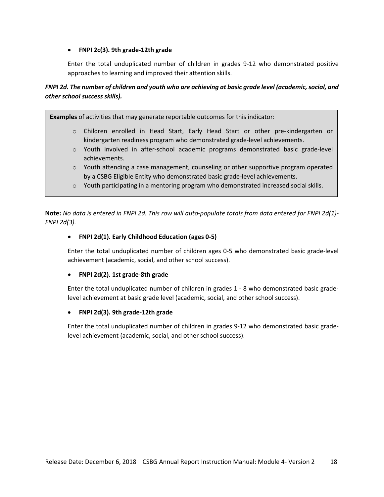#### • **FNPI 2c(3). 9th grade-12th grade**

Enter the total unduplicated number of children in grades 9-12 who demonstrated positive approaches to learning and improved their attention skills.

## *FNPI 2d. The number of children and youth who are achieving at basic grade level (academic, social, and other school success skills).*

**Examples** of activities that may generate reportable outcomes for this indicator:

- o Children enrolled in Head Start, Early Head Start or other pre-kindergarten or kindergarten readiness program who demonstrated grade-level achievements.
- o Youth involved in after-school academic programs demonstrated basic grade-level achievements.
- $\circ$  Youth attending a case management, counseling or other supportive program operated by a CSBG Eligible Entity who demonstrated basic grade-level achievements.
- $\circ$  Youth participating in a mentoring program who demonstrated increased social skills.

**Note:** *No data is entered in FNPI 2d. This row will auto-populate totals from data entered for FNPI 2d(1)- FNPI 2d(3).*

#### • **FNPI 2d(1). Early Childhood Education (ages 0-5)**

Enter the total unduplicated number of children ages 0-5 who demonstrated basic grade-level achievement (academic, social, and other school success).

#### • **FNPI 2d(2). 1st grade-8th grade**

Enter the total unduplicated number of children in grades 1 - 8 who demonstrated basic gradelevel achievement at basic grade level (academic, social, and other school success).

#### • **FNPI 2d(3). 9th grade-12th grade**

Enter the total unduplicated number of children in grades 9-12 who demonstrated basic gradelevel achievement (academic, social, and other school success).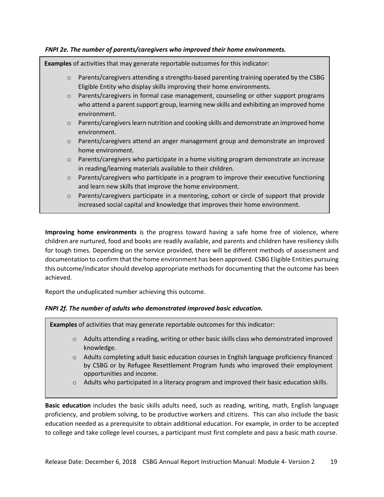*FNPI 2e. The number of parents/caregivers who improved their home environments.*

**Examples** of activities that may generate reportable outcomes for this indicator:

- $\circ$  Parents/caregivers attending a strengths-based parenting training operated by the CSBG Eligible Entity who display skills improving their home environments.
- $\circ$  Parents/caregivers in formal case management, counseling or other support programs who attend a parent support group, learning new skills and exhibiting an improved home environment.
- o Parents/caregivers learn nutrition and cooking skills and demonstrate an improved home environment.
- o Parents/caregivers attend an anger management group and demonstrate an improved home environment.
- $\circ$  Parents/caregivers who participate in a home visiting program demonstrate an increase in reading/learning materials available to their children.
- o Parents/caregivers who participate in a program to improve their executive functioning and learn new skills that improve the home environment.
- o Parents/caregivers participate in a mentoring, cohort or circle of support that provide increased social capital and knowledge that improves their home environment.

**Improving home environments** is the progress toward having a safe home free of violence, where children are nurtured, food and books are readily available, and parents and children have resiliency skills for tough times. Depending on the service provided, there will be different methods of assessment and documentation to confirm that the home environment has been approved. CSBG Eligible Entities pursuing this outcome/indicator should develop appropriate methods for documenting that the outcome has been achieved.

Report the unduplicated number achieving this outcome.

#### *FNPI 2f. The number of adults who demonstrated improved basic education.*

**Examples** of activities that may generate reportable outcomes for this indicator:  $\circ$  Adults attending a reading, writing or other basic skills class who demonstrated improved knowledge.  $\circ$  Adults completing adult basic education courses in English language proficiency financed by CSBG or by Refugee Resettlement Program funds who improved their employment opportunities and income. o Adults who participated in a literacy program and improved their basic education skills.

**Basic education** includes the basic skills adults need, such as reading, writing, math, English language proficiency, and problem solving, to be productive workers and citizens. This can also include the basic education needed as a prerequisite to obtain additional education. For example, in order to be accepted to college and take college level courses, a participant must first complete and pass a basic math course.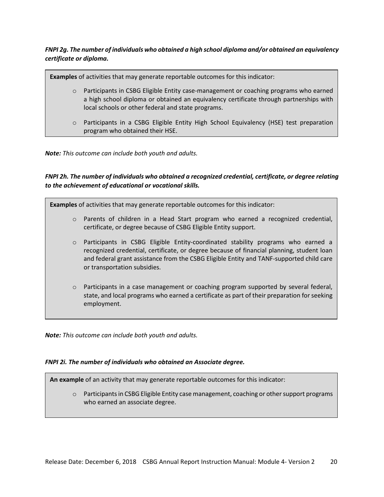*FNPI 2g. The number of individuals who obtained a high school diploma and/or obtained an equivalency certificate or diploma.*

| <b>Examples</b> of activities that may generate reportable outcomes for this indicator: |                                                                                                                                                                                                                                      |  |  |  |  |
|-----------------------------------------------------------------------------------------|--------------------------------------------------------------------------------------------------------------------------------------------------------------------------------------------------------------------------------------|--|--|--|--|
| $\circ$                                                                                 | Participants in CSBG Eligible Entity case-management or coaching programs who earned<br>a high school diploma or obtained an equivalency certificate through partnerships with<br>local schools or other federal and state programs. |  |  |  |  |
| $\circ$                                                                                 | Participants in a CSBG Eligible Entity High School Equivalency (HSE) test preparation<br>program who obtained their HSE.                                                                                                             |  |  |  |  |

*Note: This outcome can include both youth and adults.*

*FNPI 2h. The number of individuals who obtained a recognized credential, certificate, or degree relating to the achievement of educational or vocational skills.*

**Examples** of activities that may generate reportable outcomes for this indicator:

- o Parents of children in a Head Start program who earned a recognized credential, certificate, or degree because of CSBG Eligible Entity support.
- o Participants in CSBG Eligible Entity-coordinated stability programs who earned a recognized credential, certificate, or degree because of financial planning, student loan and federal grant assistance from the CSBG Eligible Entity and TANF-supported child care or transportation subsidies.
- o Participants in a case management or coaching program supported by several federal, state, and local programs who earned a certificate as part of their preparation for seeking employment.

*Note: This outcome can include both youth and adults.* 

#### *FNPI 2i. The number of individuals who obtained an Associate degree.*

**An example** of an activity that may generate reportable outcomes for this indicator:

 $\circ$  Participants in CSBG Eligible Entity case management, coaching or other support programs who earned an associate degree.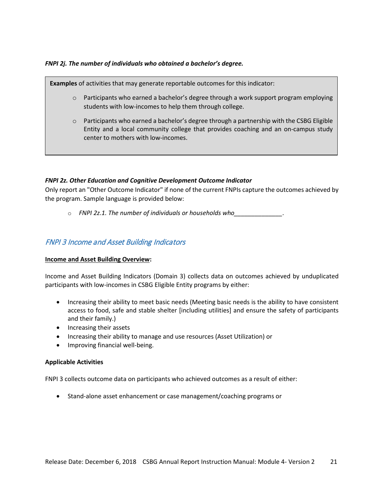*FNPI 2j. The number of individuals who obtained a bachelor's degree.*



#### *FNPI 2z. Other Education and Cognitive Development Outcome Indicator*

Only report an "Other Outcome Indicator" if none of the current FNPIs capture the outcomes achieved by the program. Sample language is provided below:

o *FNPI 2z.1. The number of individuals or households who\_\_\_\_\_\_\_\_\_\_\_\_\_\_.*

## <span id="page-21-0"></span>FNPI 3 Income and Asset Building Indicators

#### **Income and Asset Building Overview:**

Income and Asset Building Indicators (Domain 3) collects data on outcomes achieved by unduplicated participants with low-incomes in CSBG Eligible Entity programs by either:

- Increasing their ability to meet basic needs (Meeting basic needs is the ability to have consistent access to food, safe and stable shelter [including utilities] and ensure the safety of participants and their family.)
- Increasing their assets
- Increasing their ability to manage and use resources (Asset Utilization) or
- Improving financial well-being.

#### **Applicable Activities**

FNPI 3 collects outcome data on participants who achieved outcomes as a result of either:

• Stand-alone asset enhancement or case management/coaching programs or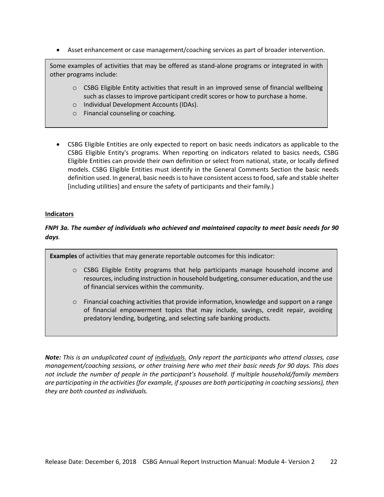• Asset enhancement or case management/coaching services as part of broader intervention.

Some examples of activities that may be offered as stand-alone programs or integrated in with other programs include:

- $\circ$  CSBG Eligible Entity activities that result in an improved sense of financial wellbeing such as classes to improve participant credit scores or how to purchase a home.
- o Individual Development Accounts (IDAs).
- o Financial counseling or coaching.
- CSBG Eligible Entities are only expected to report on basic needs indicators as applicable to the CSBG Eligible Entity's programs. When reporting on indicators related to basics needs, CSBG Eligible Entities can provide their own definition or select from national, state, or locally defined models. CSBG Eligible Entities must identify in the General Comments Section the basic needs definition used. In general, basic needsis to have consistent access to food, safe and stable shelter [including utilities] and ensure the safety of participants and their family.)

#### **Indicators**

## *FNPI 3a. The number of individuals who achieved and maintained capacity to meet basic needs for 90 days.*

**Examples** of activities that may generate reportable outcomes for this indicator:

- $\circ$  CSBG Eligible Entity programs that help participants manage household income and resources, including instruction in household budgeting, consumer education, and the use of financial services within the community.
- o Financial coaching activities that provide information, knowledge and support on a range of financial empowerment topics that may include, savings, credit repair, avoiding predatory lending, budgeting, and selecting safe banking products.

*Note: This is an unduplicated count of individuals. Only report the participants who attend classes, case management/coaching sessions, or other training here who met their basic needs for 90 days. This does not include the number of people in the participant's household. If multiple household/family members are participating in the activities (for example, if spouses are both participating in coaching sessions), then they are both counted as individuals.*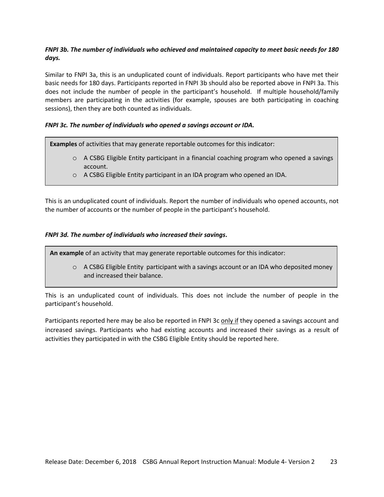## *FNPI 3b. The number of individuals who achieved and maintained capacity to meet basic needs for 180 days.*

Similar to FNPI 3a, this is an unduplicated count of individuals. Report participants who have met their basic needs for 180 days. Participants reported in FNPI 3b should also be reported above in FNPI 3a. This does not include the number of people in the participant's household. If multiple household/family members are participating in the activities (for example, spouses are both participating in coaching sessions), then they are both counted as individuals.

#### *FNPI 3c. The number of individuals who opened a savings account or IDA.*

**Examples** of activities that may generate reportable outcomes for this indicator:

- o A CSBG Eligible Entity participant in a financial coaching program who opened a savings account.
- o A CSBG Eligible Entity participant in an IDA program who opened an IDA.

This is an unduplicated count of individuals. Report the number of individuals who opened accounts, not the number of accounts or the number of people in the participant's household.

#### *FNPI 3d. The number of individuals who increased their savings***.**

**An example** of an activity that may generate reportable outcomes for this indicator:

 $\circ$  A CSBG Eligible Entity participant with a savings account or an IDA who deposited money and increased their balance.

This is an unduplicated count of individuals. This does not include the number of people in the participant's household.

Participants reported here may be also be reported in FNPI 3c only if they opened a savings account and increased savings. Participants who had existing accounts and increased their savings as a result of activities they participated in with the CSBG Eligible Entity should be reported here.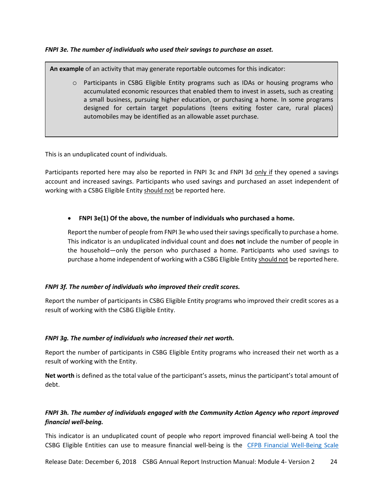#### *FNPI 3e. The number of individuals who used their savings to purchase an asset.*

**An example** of an activity that may generate reportable outcomes for this indicator:

o Participants in CSBG Eligible Entity programs such as IDAs or housing programs who accumulated economic resources that enabled them to invest in assets, such as creating a small business, pursuing higher education, or purchasing a home. In some programs designed for certain target populations (teens exiting foster care, rural places) automobiles may be identified as an allowable asset purchase.

This is an unduplicated count of individuals.

Participants reported here may also be reported in FNPI 3c and FNPI 3d only if they opened a savings account and increased savings. Participants who used savings and purchased an asset independent of working with a CSBG Eligible Entity should not be reported here.

#### • **FNPI 3e(1) Of the above, the number of individuals who purchased a home.**

Report the number of people from FNPI 3e who used their savings specifically to purchase a home. This indicator is an unduplicated individual count and does **not** include the number of people in the household—only the person who purchased a home. Participants who used savings to purchase a home independent of working with a CSBG Eligible Entity should not be reported here.

#### *FNPI 3f. The number of individuals who improved their credit scores.*

Report the number of participants in CSBG Eligible Entity programs who improved their credit scores as a result of working with the CSBG Eligible Entity.

#### *FNPI 3g. The number of individuals who increased their net worth.*

Report the number of participants in CSBG Eligible Entity programs who increased their net worth as a result of working with the Entity.

**Net worth** is defined as the total value of the participant's assets, minus the participant's total amount of debt.

## *FNPI 3h. The number of individuals engaged with the Community Action Agency who report improved financial well-being.*

This indicator is an unduplicated count of people who report improved financial well-being A tool the CSBG Eligible Entities can use to measure financial well-being is the [CFPB Financial Well-Being Scale](http://www.consumerfinance.gov/reports/financial-well-being-scale/)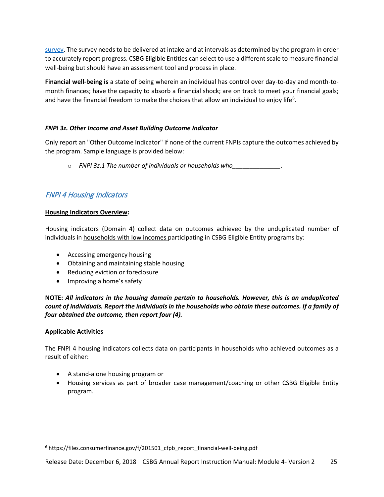survey. The survey needs to be delivered at intake and at intervals as determined by the program in order to accurately report progress. CSBG Eligible Entities can select to use a different scale to measure financial well-being but should have an assessment tool and process in place.

**Financial well-being is** a state of being wherein an individual has control over day-to-day and month-tomonth finances; have the capacity to absorb a financial shock; are on track to meet your financial goals; and have the financial freedom to make the choices that allow an individual to enjoy life<sup>[6](#page-25-1)</sup>.

## *FNPI 3z. Other Income and Asset Building Outcome Indicator*

Only report an "Other Outcome Indicator" if none of the current FNPIs capture the outcomes achieved by the program. Sample language is provided below:

o *FNPI 3z.1 The number of individuals or households who\_\_\_\_\_\_\_\_\_\_\_\_\_\_.*

## <span id="page-25-0"></span>FNPI 4 Housing Indicators

#### **Housing Indicators Overview:**

Housing indicators (Domain 4) collect data on outcomes achieved by the unduplicated number of individuals in households with low incomes participating in CSBG Eligible Entity programs by:

- Accessing emergency housing
- Obtaining and maintaining stable housing
- Reducing eviction or foreclosure
- Improving a home's safety

**NOTE:** *All indicators in the housing domain pertain to households. However, this is an unduplicated count of individuals. Report the individuals in the households who obtain these outcomes. If a family of four obtained the outcome, then report four (4).*

#### **Applicable Activities**

The FNPI 4 housing indicators collects data on participants in households who achieved outcomes as a result of either:

- A stand-alone housing program or
- Housing services as part of broader case management/coaching or other CSBG Eligible Entity program.

<span id="page-25-1"></span><sup>&</sup>lt;sup>6</sup> https://files.consumerfinance.gov/f/201501\_cfpb\_report\_financial-well-being.pdf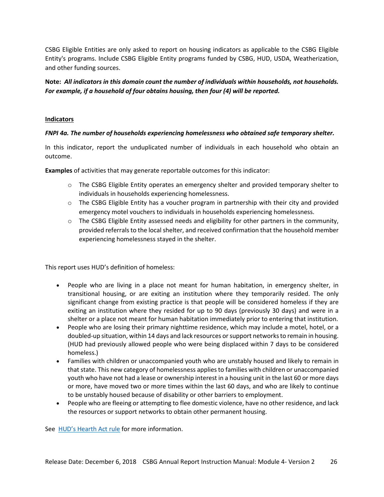CSBG Eligible Entities are only asked to report on housing indicators as applicable to the CSBG Eligible Entity's programs. Include CSBG Eligible Entity programs funded by CSBG, HUD, USDA, Weatherization, and other funding sources.

**Note:** *All indicators in this domain count the number of individuals within households, not households. For example, if a household of four obtains housing, then four (4) will be reported.*

#### **Indicators**

#### *FNPI 4a. The number of households experiencing homelessness who obtained safe temporary shelter.*

In this indicator, report the unduplicated number of individuals in each household who obtain an outcome.

**Examples** of activities that may generate reportable outcomes for this indicator:

- o The CSBG Eligible Entity operates an emergency shelter and provided temporary shelter to individuals in households experiencing homelessness.
- $\circ$  The CSBG Eligible Entity has a voucher program in partnership with their city and provided emergency motel vouchers to individuals in households experiencing homelessness.
- $\circ$  The CSBG Eligible Entity assessed needs and eligibility for other partners in the community, provided referrals to the local shelter, and received confirmation that the household member experiencing homelessness stayed in the shelter.

This report uses HUD's definition of homeless:

- People who are living in a place not meant for human habitation, in emergency shelter, in transitional housing, or are exiting an institution where they temporarily resided. The only significant change from existing practice is that people will be considered homeless if they are exiting an institution where they resided for up to 90 days (previously 30 days) and were in a shelter or a place not meant for human habitation immediately prior to entering that institution.
- People who are losing their primary nighttime residence, which may include a motel, hotel, or a doubled-up situation, within 14 days and lack resources or support networks to remain in housing. (HUD had previously allowed people who were being displaced within 7 days to be considered homeless.)
- Families with children or unaccompanied youth who are unstably housed and likely to remain in that state. This new category of homelessness applies to families with children or unaccompanied youth who have not had a lease or ownership interest in a housing unit in the last 60 or more days or more, have moved two or more times within the last 60 days, and who are likely to continue to be unstably housed because of disability or other barriers to employment.
- People who are fleeing or attempting to flee domestic violence, have no other residence, and lack the resources or support networks to obtain other permanent housing.

See [HUD's Hearth Act rule](https://www.hudexchange.info/resources/documents/HEARTH_HomelessDefinition_FinalRule.pdf) for more information.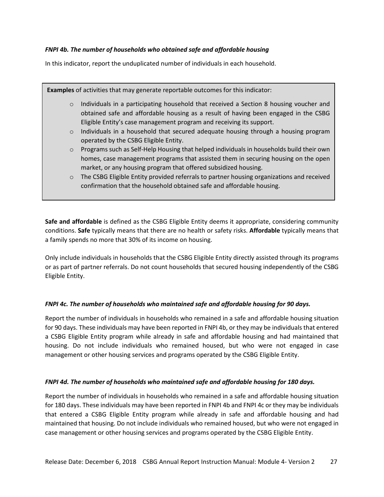#### *FNPI 4b. The number of households who obtained safe and affordable housing*

In this indicator, report the unduplicated number of individuals in each household.

**Examples** of activities that may generate reportable outcomes for this indicator:  $\circ$  Individuals in a participating household that received a Section 8 housing voucher and obtained safe and affordable housing as a result of having been engaged in the CSBG Eligible Entity's case management program and receiving its support.  $\circ$  Individuals in a household that secured adequate housing through a housing program operated by the CSBG Eligible Entity. o Programs such as Self-Help Housing that helped individuals in households build their own homes, case management programs that assisted them in securing housing on the open market, or any housing program that offered subsidized housing.  $\circ$  The CSBG Eligible Entity provided referrals to partner housing organizations and received confirmation that the household obtained safe and affordable housing.

**Safe and affordable** is defined as the CSBG Eligible Entity deems it appropriate, considering community conditions. **Safe** typically means that there are no health or safety risks. **Affordable** typically means that a family spends no more that 30% of its income on housing.

Only include individuals in households that the CSBG Eligible Entity directly assisted through its programs or as part of partner referrals. Do not count households that secured housing independently of the CSBG Eligible Entity.

## *FNPI 4c. The number of households who maintained safe and affordable housing for 90 days.*

Report the number of individuals in households who remained in a safe and affordable housing situation for 90 days. These individuals may have been reported in FNPI 4b, or they may be individuals that entered a CSBG Eligible Entity program while already in safe and affordable housing and had maintained that housing. Do not include individuals who remained housed, but who were not engaged in case management or other housing services and programs operated by the CSBG Eligible Entity.

#### *FNPI 4d. The number of households who maintained safe and affordable housing for 180 days.*

Report the number of individuals in households who remained in a safe and affordable housing situation for 180 days. These individuals may have been reported in FNPI 4b and FNPI 4c or they may be individuals that entered a CSBG Eligible Entity program while already in safe and affordable housing and had maintained that housing. Do not include individuals who remained housed, but who were not engaged in case management or other housing services and programs operated by the CSBG Eligible Entity.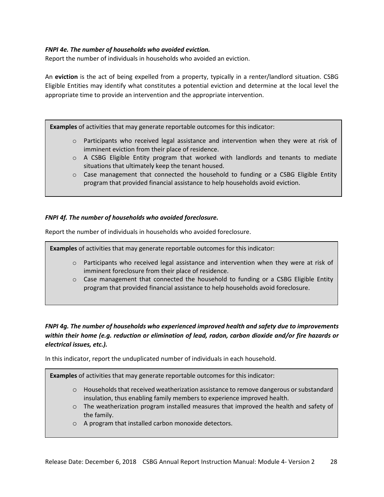#### *FNPI 4e. The number of households who avoided eviction.*

Report the number of individuals in households who avoided an eviction.

An **eviction** is the act of being expelled from a property, typically in a renter/landlord situation. CSBG Eligible Entities may identify what constitutes a potential eviction and determine at the local level the appropriate time to provide an intervention and the appropriate intervention.

**Examples** of activities that may generate reportable outcomes for this indicator:

- o Participants who received legal assistance and intervention when they were at risk of imminent eviction from their place of residence.
- $\circ$  A CSBG Eligible Entity program that worked with landlords and tenants to mediate situations that ultimately keep the tenant housed.
- o Case management that connected the household to funding or a CSBG Eligible Entity program that provided financial assistance to help households avoid eviction.

#### *FNPI 4f. The number of households who avoided foreclosure.*

Report the number of individuals in households who avoided foreclosure.

**Examples** of activities that may generate reportable outcomes for this indicator:

- $\circ$  Participants who received legal assistance and intervention when they were at risk of imminent foreclosure from their place of residence.
- $\circ$  Case management that connected the household to funding or a CSBG Eligible Entity program that provided financial assistance to help households avoid foreclosure.

## *FNPI 4g. The number of households who experienced improved health and safety due to improvements within their home (e.g. reduction or elimination of lead, radon, carbon dioxide and/or fire hazards or electrical issues, etc.).*

In this indicator, report the unduplicated number of individuals in each household.

**Examples** of activities that may generate reportable outcomes for this indicator:

- o Households that received weatherization assistance to remove dangerous or substandard insulation, thus enabling family members to experience improved health.
- $\circ$  The weatherization program installed measures that improved the health and safety of the family.
- o A program that installed carbon monoxide detectors.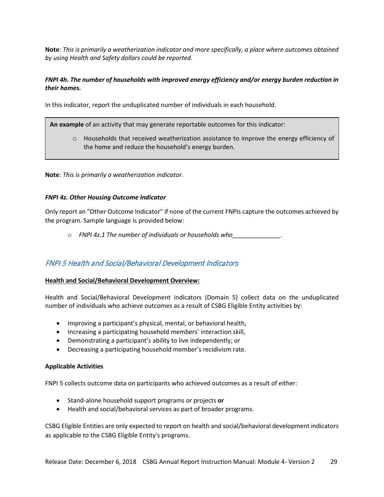**Note**: *This is primarily a weatherization indicator and more specifically, a place where outcomes obtained by using Health and Safety dollars could be reported.* 

## *FNPI 4h. The number of households with improved energy efficiency and/or energy burden reduction in their homes.*

In this indicator, report the unduplicated number of individuals in each household.

**An example** of an activity that may generate reportable outcomes for this indicator:

o Households that received weatherization assistance to improve the energy efficiency of the home and reduce the household's energy burden.

**Note**: *This is primarily a weatherization indicator.* 

#### *FNPI 4z. Other Housing Outcome Indicator*

Only report an "Other Outcome Indicator" if none of the current FNPIs capture the outcomes achieved by the program. Sample language is provided below:

o *FNPI 4z.1 The number of individuals or households who\_\_\_\_\_\_\_\_\_\_\_\_\_\_.*

## <span id="page-29-0"></span>FNPI 5 Health and Social/Behavioral Development Indicators

#### **Health and Social/Behavioral Development Overview:**

Health and Social/Behavioral Development indicators (Domain 5) collect data on the unduplicated number of individuals who achieve outcomes as a result of CSBG Eligible Entity activities by:

- Improving a participant's physical, mental, or behavioral health,
- Increasing a participating household members' interaction skill,
- Demonstrating a participant's ability to live independently; or
- Decreasing a participating household member's recidivism rate.

#### **Applicable Activities**

FNPI 5 collects outcome data on participants who achieved outcomes as a result of either:

- Stand-alone household support programs or projects **or**
- Health and social/behavioral services as part of broader programs.

CSBG Eligible Entities are only expected to report on health and social/behavioral development indicators as applicable to the CSBG Eligible Entity's programs.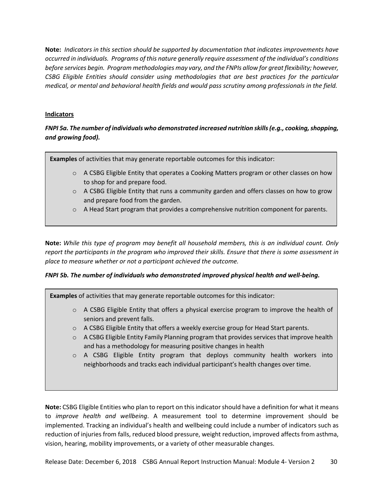**Note:** *Indicators in this section should be supported by documentation that indicates improvements have occurred in individuals. Programs of this nature generally require assessment of the individual's conditions before services begin. Program methodologies may vary, and the FNPIs allow for great flexibility; however, CSBG Eligible Entities should consider using methodologies that are best practices for the particular medical, or mental and behavioral health fields and would pass scrutiny among professionals in the field.*

## **Indicators**

## *FNPI 5a. The number of individuals who demonstrated increased nutrition skills (e.g., cooking, shopping, and growing food).*

**Examples** of activities that may generate reportable outcomes for this indicator:

- $\circ$  A CSBG Eligible Entity that operates a Cooking Matters program or other classes on how to shop for and prepare food.
- $\circ$  A CSBG Eligible Entity that runs a community garden and offers classes on how to grow and prepare food from the garden.
- o A Head Start program that provides a comprehensive nutrition component for parents.

**Note:** *While this type of program may benefit all household members, this is an individual count. Only report the participants in the program who improved their skills. Ensure that there is some assessment in place to measure whether or not a participant achieved the outcome.*

## *FNPI 5b. The number of individuals who demonstrated improved physical health and well-being.*

**Examples** of activities that may generate reportable outcomes for this indicator:

- $\circ$  A CSBG Eligible Entity that offers a physical exercise program to improve the health of seniors and prevent falls.
- $\circ$  A CSBG Eligible Entity that offers a weekly exercise group for Head Start parents.
- $\circ$  A CSBG Eligible Entity Family Planning program that provides services that improve health and has a methodology for measuring positive changes in health
- o A CSBG Eligible Entity program that deploys community health workers into neighborhoods and tracks each individual participant's health changes over time.

**Note:** CSBG Eligible Entities who plan to report on this indicator should have a definition for what it means to *improve health and wellbeing*. A measurement tool to determine improvement should be implemented. Tracking an individual's health and wellbeing could include a number of indicators such as reduction of injuries from falls, reduced blood pressure, weight reduction, improved affects from asthma, vision, hearing, mobility improvements, or a variety of other measurable changes.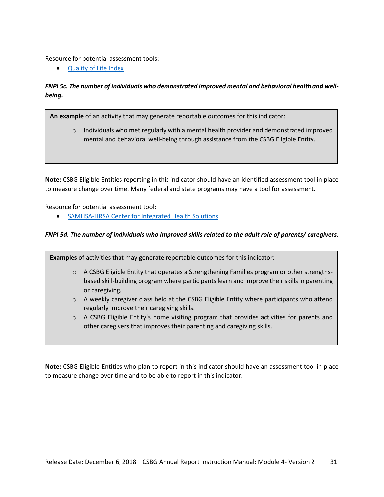Resource for potential assessment tools:

• [Quality of Life Index](https://qli.org.uic.edu/questionaires/questionnairehome.htm)

## *FNPI 5c. The number of individuals who demonstrated improved mental and behavioral health and wellbeing.*

**An example** of an activity that may generate reportable outcomes for this indicator:

 $\circ$  Individuals who met regularly with a mental health provider and demonstrated improved mental and behavioral well-being through assistance from the CSBG Eligible Entity.

**Note:** CSBG Eligible Entities reporting in this indicator should have an identified assessment tool in place to measure change over time. Many federal and state programs may have a tool for assessment.

Resource for potential assessment tool:

• [SAMHSA-HRSA Center for Integrated Health Solutions](https://www.integration.samhsa.gov/clinical-practice/screening-tools)

#### *FNPI 5d. The number of individuals who improved skills related to the adult role of parents/ caregivers.*

**Examples** of activities that may generate reportable outcomes for this indicator:

- o A CSBG Eligible Entity that operates a Strengthening Families program or other strengthsbased skill-building program where participants learn and improve their skills in parenting or caregiving.
- $\circ$  A weekly caregiver class held at the CSBG Eligible Entity where participants who attend regularly improve their caregiving skills.
- $\circ$  A CSBG Eligible Entity's home visiting program that provides activities for parents and other caregivers that improves their parenting and caregiving skills.

**Note:** CSBG Eligible Entities who plan to report in this indicator should have an assessment tool in place to measure change over time and to be able to report in this indicator.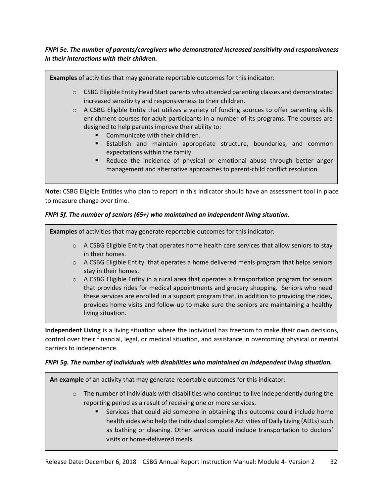## *FNPI 5e. The number of parents/caregivers who demonstrated increased sensitivity and responsiveness in their interactions with their children.*



**Note:** CSBG Eligible Entities who plan to report in this indicator should have an assessment tool in place to measure change over time.

## *FNPI 5f. The number of seniors (65+) who maintained an independent living situation.*

**Examples** of activities that may generate reportable outcomes for this indicator:

- $\circ$  A CSBG Eligible Entity that operates home health care services that allow seniors to stay in their homes.
- $\circ$  A CSBG Eligible Entity that operates a home delivered meals program that helps seniors stay in their homes.
- $\circ$  A CSBG Eligible Entity in a rural area that operates a transportation program for seniors that provides rides for medical appointments and grocery shopping. Seniors who need these services are enrolled in a support program that, in addition to providing the rides, provides home visits and follow-up to make sure the seniors are maintaining a healthy living situation.

**Independent Living** is a living situation where the individual has freedom to make their own decisions, control over their financial, legal, or medical situation, and assistance in overcoming physical or mental barriers to independence.

#### *FNPI 5g. The number of individuals with disabilities who maintained an independent living situation.*

**An example** of an activity that may generate reportable outcomes for this indicator:

- $\circ$  The number of individuals with disabilities who continue to live independently during the reporting period as a result of receiving one or more services.
	- Services that could aid someone in obtaining this outcome could include home health aides who help the individual complete Activities of Daily Living (ADLs) such as bathing or cleaning. Other services could include transportation to doctors' visits or home-delivered meals.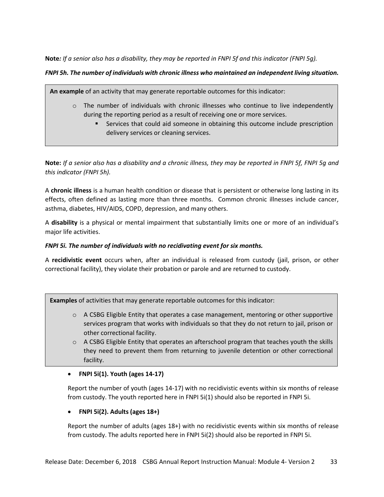**Note***: If a senior also has a disability, they may be reported in FNPI 5f and this indicator (FNPI 5g).*

#### *FNPI 5h. The number of individuals with chronic illness who maintained an independent living situation.*

**An example** of an activity that may generate reportable outcomes for this indicator:

- $\circ$  The number of individuals with chronic illnesses who continue to live independently during the reporting period as a result of receiving one or more services.
	- Services that could aid someone in obtaining this outcome include prescription delivery services or cleaning services.

**Note:** *If a senior also has a disability and a chronic illness, they may be reported in FNPI 5f, FNPI 5g and this indicator (FNPI 5h).*

A **chronic illness** is a human health condition or disease that is persistent or otherwise long lasting in its effects, often defined as lasting more than three months. Common chronic illnesses include cancer, asthma, diabetes, HIV/AIDS, COPD, depression, and many others.

A **disability** is a physical or mental impairment that substantially limits one or more of an individual's major life activities.

#### *FNPI 5i. The number of individuals with no recidivating event for six months.*

A **recidivistic event** occurs when, after an individual is released from custody (jail, prison, or other correctional facility), they violate their probation or parole and are returned to custody.

**Examples** of activities that may generate reportable outcomes for this indicator:

- $\circ$  A CSBG Eligible Entity that operates a case management, mentoring or other supportive services program that works with individuals so that they do not return to jail, prison or other correctional facility.
- $\circ$  A CSBG Eligible Entity that operates an afterschool program that teaches youth the skills they need to prevent them from returning to juvenile detention or other correctional facility.

#### • **FNPI 5i(1). Youth (ages 14-17)**

Report the number of youth (ages 14-17) with no recidivistic events within six months of release from custody. The youth reported here in FNPI 5i(1) should also be reported in FNPI 5i.

#### • **FNPI 5i(2). Adults (ages 18+)**

Report the number of adults (ages 18+) with no recidivistic events within six months of release from custody. The adults reported here in FNPI 5i(2) should also be reported in FNPI 5i.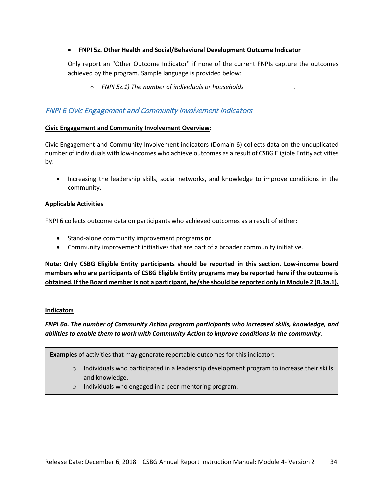#### • **FNPI 5z. Other Health and Social/Behavioral Development Outcome Indicator**

Only report an "Other Outcome Indicator" if none of the current FNPIs capture the outcomes achieved by the program. Sample language is provided below:

o *FNPI 5z.1) The number of individuals or households \_\_\_\_\_\_\_\_\_\_\_\_\_\_.*

## <span id="page-34-0"></span>FNPI 6 Civic Engagement and Community Involvement Indicators

#### **Civic Engagement and Community Involvement Overview:**

Civic Engagement and Community Involvement indicators (Domain 6) collects data on the unduplicated number of individuals with low-incomes who achieve outcomes as a result of CSBG Eligible Entity activities by:

• Increasing the leadership skills, social networks, and knowledge to improve conditions in the community.

#### **Applicable Activities**

FNPI 6 collects outcome data on participants who achieved outcomes as a result of either:

- Stand-alone community improvement programs **or**
- Community improvement initiatives that are part of a broader community initiative.

**Note: Only CSBG Eligible Entity participants should be reported in this section. Low-income board members who are participants of CSBG Eligible Entity programs may be reported here if the outcome is obtained. If the Board member is not a participant, he/she should be reported only in Module 2 (B.3a.1).**

#### **Indicators**

## *FNPI 6a. The number of Community Action program participants who increased skills, knowledge, and abilities to enable them to work with Community Action to improve conditions in the community.*

**Examples** of activities that may generate reportable outcomes for this indicator:

- $\circ$  Individuals who participated in a leadership development program to increase their skills and knowledge.
- o Individuals who engaged in a peer-mentoring program.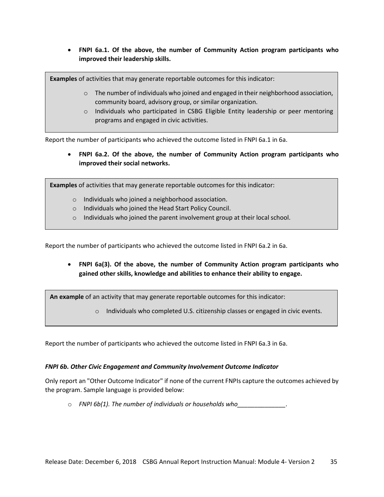• **FNPI 6a.1. Of the above, the number of Community Action program participants who improved their leadership skills.**

Report the number of participants who achieved the outcome listed in FNPI 6a.1 in 6a. • **FNPI 6a.2. Of the above, the number of Community Action program participants who improved their social networks. Examples** of activities that may generate reportable outcomes for this indicator: o The number of individuals who joined and engaged in their neighborhood association, community board, advisory group, or similar organization. o Individuals who participated in CSBG Eligible Entity leadership or peer mentoring programs and engaged in civic activities. **Examples** of activities that may generate reportable outcomes for this indicator: o Individuals who joined a neighborhood association. o Individuals who joined the Head Start Policy Council.

o Individuals who joined the parent involvement group at their local school.

Report the number of participants who achieved the outcome listed in FNPI 6a.2 in 6a.

• **FNPI 6a(3). Of the above, the number of Community Action program participants who gained other skills, knowledge and abilities to enhance their ability to engage.**

**An example** of an activity that may generate reportable outcomes for this indicator:

o Individuals who completed U.S. citizenship classes or engaged in civic events.

Report the number of participants who achieved the outcome listed in FNPI 6a.3 in 6a.

#### *FNPI 6b. Other Civic Engagement and Community Involvement Outcome Indicator*

Only report an "Other Outcome Indicator" if none of the current FNPIs capture the outcomes achieved by the program. Sample language is provided below:

o *FNPI 6b(1). The number of individuals or households who\_\_\_\_\_\_\_\_\_\_\_\_\_\_.*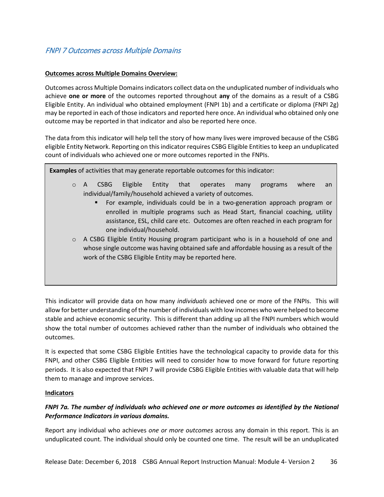## <span id="page-36-0"></span>FNPI 7 Outcomes across Multiple Domains

#### **Outcomes across Multiple Domains Overview:**

Outcomes across Multiple Domainsindicators collect data on the unduplicated number of individuals who achieve **one or more** of the outcomes reported throughout **any** of the domains as a result of a CSBG Eligible Entity. An individual who obtained employment (FNPI 1b) and a certificate or diploma (FNPI 2g) may be reported in each of those indicators and reported here once. An individual who obtained only one outcome may be reported in that indicator and also be reported here once.

The data from this indicator will help tell the story of how many lives were improved because of the CSBG eligible Entity Network. Reporting on this indicator requires CSBG Eligible Entities to keep an unduplicated count of individuals who achieved one or more outcomes reported in the FNPIs.

**Examples** of activities that may generate reportable outcomes for this indicator: o A CSBG Eligible Entity that operates many programs where an individual/family/household achieved a variety of outcomes. For example, individuals could be in a two-generation approach program or enrolled in multiple programs such as Head Start, financial coaching, utility assistance, ESL, child care etc. Outcomes are often reached in each program for one individual/household.  $\circ$  A CSBG Eligible Entity Housing program participant who is in a household of one and whose single outcome was having obtained safe and affordable housing as a result of the work of the CSBG Eligible Entity may be reported here.

This indicator will provide data on how many *individuals* achieved one or more of the FNPIs. This will allow for better understanding of the number of individuals with low incomes who were helped to become stable and achieve economic security. This is different than adding up all the FNPI numbers which would show the total number of outcomes achieved rather than the number of individuals who obtained the outcomes.

It is expected that some CSBG Eligible Entities have the technological capacity to provide data for this FNPI, and other CSBG Eligible Entities will need to consider how to move forward for future reporting periods. It is also expected that FNPI 7 will provide CSBG Eligible Entities with valuable data that will help them to manage and improve services.

#### **Indicators**

## *FNPI 7a. The number of individuals who achieved one or more outcomes as identified by the National Performance Indicators in various domains.*

Report any individual who achieves *one or more outcomes* across any domain in this report. This is an unduplicated count. The individual should only be counted one time. The result will be an unduplicated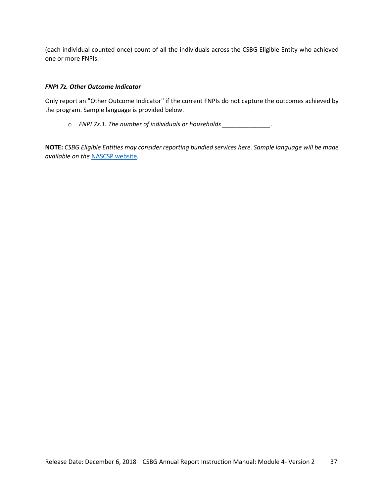(each individual counted once) count of all the individuals across the CSBG Eligible Entity who achieved one or more FNPIs.

#### *FNPI 7z. Other Outcome Indicator*

Only report an "Other Outcome Indicator" if the current FNPIs do not capture the outcomes achieved by the program. Sample language is provided below.

o *FNPI 7z.1. The number of individuals or households \_\_\_\_\_\_\_\_\_\_\_\_\_\_.*

**NOTE:** *CSBG Eligible Entities may consider reporting bundled services here. Sample language will be made available on the* [NASCSP website](http://www.nascsp.org/)*.*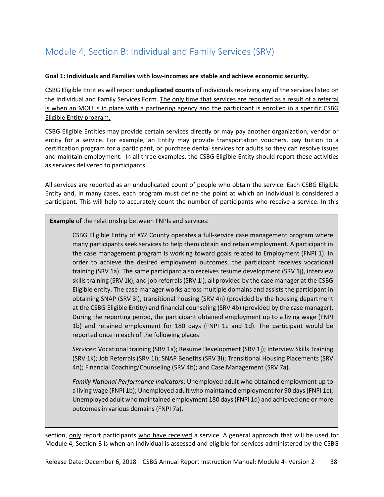# <span id="page-38-0"></span>Module 4, Section B: Individual and Family Services (SRV)

#### **Goal 1: Individuals and Families with low-incomes are stable and achieve economic security.**

CSBG Eligible Entities will report **unduplicated counts** of individuals receiving any of the services listed on the Individual and Family Services Form. The only time that services are reported as a result of a referral is when an MOU is in place with a partnering agency and the participant is enrolled in a specific CSBG Eligible Entity program.

CSBG Eligible Entities may provide certain services directly or may pay another organization, vendor or entity for a service. For example, an Entity may provide transportation vouchers, pay tuition to a certification program for a participant, or purchase dental services for adults so they can resolve issues and maintain employment. In all three examples, the CSBG Eligible Entity should report these activities as services delivered to participants.

All services are reported as an unduplicated count of people who obtain the service. Each CSBG Eligible Entity and, in many cases, each program must define the point at which an individual is considered a participant. This will help to accurately count the number of participants who receive a service. In this

**Example** of the relationship between FNPIs and services:

CSBG Eligible Entity of XYZ County operates a full-service case management program where many participants seek services to help them obtain and retain employment. A participant in the case management program is working toward goals related to Employment (FNPI 1). In order to achieve the desired employment outcomes, the participant receives vocational training (SRV 1a). The same participant also receives resume development (SRV 1j), interview skills training (SRV 1k), and job referrals (SRV 1l), all provided by the case manager at the CSBG Eligible entity. The case manager works across multiple domains and assists the participant in obtaining SNAP (SRV 3l), transitional housing (SRV 4n) (provided by the housing department at the CSBG Eligible Entity) and financial counseling (SRV 4b) (provided by the case manager). During the reporting period, the participant obtained employment up to a living wage (FNPI 1b) and retained employment for 180 days (FNPI 1c and 1d). The participant would be reported once in each of the following places:

*Services*: Vocational training (SRV 1a); Resume Development (SRV 1j); Interview Skills Training (SRV 1k); Job Referrals (SRV 1l); SNAP Benefits (SRV 3l); Transitional Housing Placements (SRV 4n); Financial Coaching/Counseling (SRV 4b); and Case Management (SRV 7a).

*Family National Performance Indicators*: Unemployed adult who obtained employment up to a living wage (FNPI 1b); Unemployed adult who maintained employment for 90 days(FNPI 1c); Unemployed adult who maintained employment 180 days(FNPI 1d) and achieved one or more outcomes in various domains (FNPI 7a).

section, only report participants who have received a service. A general approach that will be used for Module 4, Section B is when an individual is assessed and eligible for services administered by the CSBG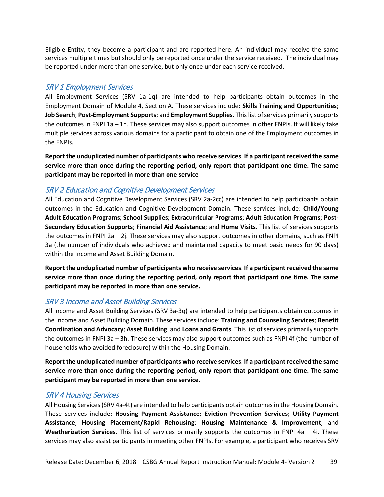Eligible Entity, they become a participant and are reported here. An individual may receive the same services multiple times but should only be reported once under the service received. The individual may be reported under more than one service, but only once under each service received.

## <span id="page-39-0"></span>SRV 1 Employment Services

All Employment Services (SRV 1a-1q) are intended to help participants obtain outcomes in the Employment Domain of Module 4, Section A. These services include: **Skills Training and Opportunities**; **Job Search**; **Post-Employment Supports**; and **Employment Supplies**. This list of services primarily supports the outcomes in FNPI 1a – 1h. These services may also support outcomes in other FNPIs. It will likely take multiple services across various domains for a participant to obtain one of the Employment outcomes in the FNPIs.

**Report the unduplicated number of participants who receive services**. **If a participant received the same service more than once during the reporting period, only report that participant one time. The same participant may be reported in more than one service** 

## <span id="page-39-1"></span>SRV 2 Education and Cognitive Development Services

All Education and Cognitive Development Services (SRV 2a-2cc) are intended to help participants obtain outcomes in the Education and Cognitive Development Domain. These services include: **Child/Young Adult Education Programs**; **School Supplies**; **Extracurricular Programs**; **Adult Education Programs**; **Post-Secondary Education Supports**; **Financial Aid Assistance**; and **Home Visits**. This list of services supports the outcomes in FNPI 2a – 2j. These services may also support outcomes in other domains, such as FNPI 3a (the number of individuals who achieved and maintained capacity to meet basic needs for 90 days) within the Income and Asset Building Domain.

**Report the unduplicated number of participants who receive services**. **If a participant received the same service more than once during the reporting period, only report that participant one time. The same participant may be reported in more than one service.** 

## <span id="page-39-2"></span>SRV 3 Income and Asset Building Services

All Income and Asset Building Services (SRV 3a-3q) are intended to help participants obtain outcomes in the Income and Asset Building Domain. These services include: **Training and Counseling Services**; **Benefit Coordination and Advocacy**; **Asset Building**; and **Loans and Grants**. This list of services primarily supports the outcomes in FNPI 3a – 3h. These services may also support outcomes such as FNPI 4f (the number of households who avoided foreclosure) within the Housing Domain.

**Report the unduplicated number of participants who receive services**. **If a participant received the same service more than once during the reporting period, only report that participant one time. The same participant may be reported in more than one service.** 

## <span id="page-39-3"></span>SRV 4 Housing Services

All Housing Services(SRV 4a-4t) are intended to help participants obtain outcomes in the Housing Domain. These services include: **Housing Payment Assistance**; **Eviction Prevention Services**; **Utility Payment Assistance**; **Housing Placement/Rapid Rehousing**; **Housing Maintenance & Improvement**; and **Weatherization Services**. This list of services primarily supports the outcomes in FNPI 4a – 4i. These services may also assist participants in meeting other FNPIs. For example, a participant who receives SRV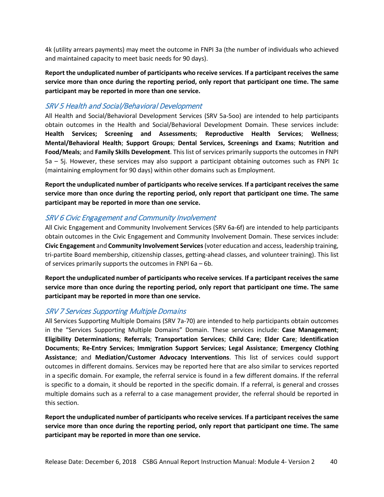4k (utility arrears payments) may meet the outcome in FNPI 3a (the number of individuals who achieved and maintained capacity to meet basic needs for 90 days).

**Report the unduplicated number of participants who receive services**. **If a participant receives the same service more than once during the reporting period, only report that participant one time. The same participant may be reported in more than one service.** 

## <span id="page-40-0"></span>SRV 5 Health and Social/Behavioral Development

All Health and Social/Behavioral Development Services (SRV 5a-5oo) are intended to help participants obtain outcomes in the Health and Social/Behavioral Development Domain. These services include: **Health Services; Screening and Assessments**; **Reproductive Health Services**; **Wellness**; **Mental/Behavioral Health**; **Support Groups**; **Dental Services, Screenings and Exams**; **Nutrition and Food/Meals**; and **Family Skills Development**. This list of services primarily supports the outcomes in FNPI 5a – 5j. However, these services may also support a participant obtaining outcomes such as FNPI 1c (maintaining employment for 90 days) within other domains such as Employment.

**Report the unduplicated number of participants who receive services**. **If a participant receives the same service more than once during the reporting period, only report that participant one time. The same participant may be reported in more than one service.**

#### <span id="page-40-1"></span>SRV 6 Civic Engagement and Community Involvement

All Civic Engagement and Community Involvement Services (SRV 6a-6f) are intended to help participants obtain outcomes in the Civic Engagement and Community Involvement Domain. These services include: **Civic Engagement** and **Community Involvement Services**(voter education and access, leadership training, tri-partite Board membership, citizenship classes, getting-ahead classes, and volunteer training). This list of services primarily supports the outcomes in FNPI 6a – 6b.

**Report the unduplicated number of participants who receive services**. **If a participant receives the same service more than once during the reporting period, only report that participant one time. The same participant may be reported in more than one service.**

#### <span id="page-40-2"></span>SRV 7 Services Supporting Multiple Domains

All Services Supporting Multiple Domains (SRV 7a-70) are intended to help participants obtain outcomes in the "Services Supporting Multiple Domains" Domain. These services include: **Case Management**; **Eligibility Determinations**; **Referrals**; **Transportation Services**; **Child Care**; **Elder Care**; **Identification Documents**; **Re-Entry Services**; **Immigration Support Services**; **Legal Assistance**; **Emergency Clothing Assistance**; and **Mediation/Customer Advocacy Interventions**. This list of services could support outcomes in different domains. Services may be reported here that are also similar to services reported in a specific domain. For example, the referral service is found in a few different domains. If the referral is specific to a domain, it should be reported in the specific domain. If a referral, is general and crosses multiple domains such as a referral to a case management provider, the referral should be reported in this section.

**Report the unduplicated number of participants who receive services**. **If a participant receives the same service more than once during the reporting period, only report that participant one time. The same participant may be reported in more than one service.**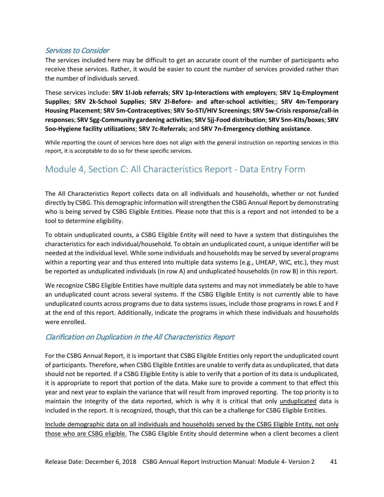## <span id="page-41-0"></span>Services to Consider

The services included here may be difficult to get an accurate count of the number of participants who receive these services. Rather, it would be easier to count the number of services provided rather than the number of individuals served.

These services include: **SRV 1l-Job referrals**; **SRV 1p-Interactions with employers**; **SRV 1q-Employment Supplies**; **SRV 2k-School Supplies**; **SRV 2l-Before- and after-school activities**;; **SRV 4m-Temporary Housing Placement**; **SRV 5m-Contraceptives**; **SRV 5o-STI/HIV Screenings**; **SRV 5w-Crisis response/call-in responses**; **SRV 5gg-Community gardening activities**; **SRV 5jj-Food distribution**; **SRV 5nn-Kits/boxes**; **SRV 5oo-Hygiene facility utilizations**; **SRV 7c-Referrals**; and **SRV 7n-Emergency clothing assistance**.

While reporting the count of services here does not align with the general instruction on reporting services in this report, it is acceptable to do so for these specific services.

# <span id="page-41-1"></span>Module 4, Section C: All Characteristics Report - Data Entry Form

The All Characteristics Report collects data on all individuals and households, whether or not funded directly by CSBG. This demographic information will strengthen the CSBG Annual Report by demonstrating who is being served by CSBG Eligible Entities. Please note that this is a report and not intended to be a tool to determine eligibility.

To obtain unduplicated counts, a CSBG Eligible Entity will need to have a system that distinguishes the characteristics for each individual/household. To obtain an unduplicated count, a unique identifier will be needed at the individual level. While some individuals and households may be served by several programs within a reporting year and thus entered into multiple data systems (e.g., LIHEAP, WIC, etc.), they must be reported as unduplicated individuals (in row A) and unduplicated households (in row B) in this report.

We recognize CSBG Eligible Entities have multiple data systems and may not immediately be able to have an unduplicated count across several systems. If the CSBG Eligible Entity is not currently able to have unduplicated counts across programs due to data systems issues, include those programs in rows E and F at the end of this report. Additionally, indicate the programs in which these individuals and households were enrolled.

## <span id="page-41-2"></span>Clarification on Duplication in the All Characteristics Report

For the CSBG Annual Report, it is important that CSBG Eligible Entities only report the unduplicated count of participants. Therefore, when CSBG Eligible Entities are unable to verify data as unduplicated, that data should not be reported. If a CSBG Eligible Entity is able to verify that a portion of its data is unduplicated, it is appropriate to report that portion of the data. Make sure to provide a comment to that effect this year and next year to explain the variance that will result from improved reporting. The top priority is to maintain the integrity of the data reported, which is why it is critical that only unduplicated data is included in the report. It is recognized, though, that this can be a challenge for CSBG Eligible Entities.

Include demographic data on all individuals and households served by the CSBG Eligible Entity, not only those who are CSBG eligible. The CSBG Eligible Entity should determine when a client becomes a client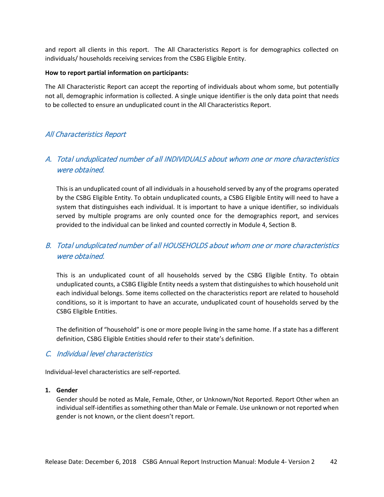and report all clients in this report. The All Characteristics Report is for demographics collected on individuals/ households receiving services from the CSBG Eligible Entity.

#### **How to report partial information on participants:**

The All Characteristic Report can accept the reporting of individuals about whom some, but potentially not all, demographic information is collected. A single unique identifier is the only data point that needs to be collected to ensure an unduplicated count in the All Characteristics Report.

## <span id="page-42-0"></span>All Characteristics Report

# <span id="page-42-1"></span>A. Total unduplicated number of all INDIVIDUALS about whom one or more characteristics were obtained.

This is an unduplicated count of all individuals in a household served by any of the programs operated by the CSBG Eligible Entity. To obtain unduplicated counts, a CSBG Eligible Entity will need to have a system that distinguishes each individual. It is important to have a unique identifier, so individuals served by multiple programs are only counted once for the demographics report, and services provided to the individual can be linked and counted correctly in Module 4, Section B.

## <span id="page-42-2"></span>B. Total unduplicated number of all HOUSEHOLDS about whom one or more characteristics were obtained.

This is an unduplicated count of all households served by the CSBG Eligible Entity. To obtain unduplicated counts, a CSBG Eligible Entity needs a system that distinguishes to which household unit each individual belongs. Some items collected on the characteristics report are related to household conditions, so it is important to have an accurate, unduplicated count of households served by the CSBG Eligible Entities.

The definition of "household" is one or more people living in the same home. If a state has a different definition, CSBG Eligible Entities should refer to their state's definition.

## <span id="page-42-3"></span>C. Individual level characteristics

Individual-level characteristics are self-reported.

#### **1. Gender**

Gender should be noted as Male, Female, Other, or Unknown/Not Reported. Report Other when an individual self-identifies as something other than Male or Female. Use unknown or not reported when gender is not known, or the client doesn't report.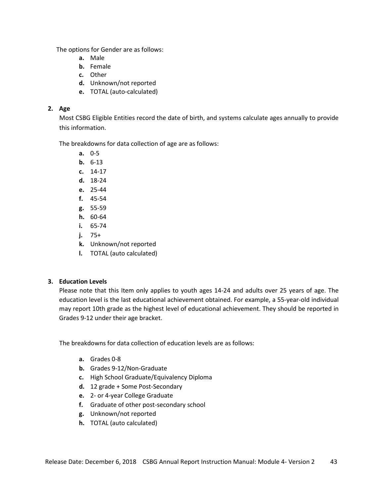The options for Gender are as follows:

- **a.** Male
- **b.** Female
- **c.** Other
- **d.** Unknown/not reported
- **e.** TOTAL (auto-calculated)

#### **2. Age**

Most CSBG Eligible Entities record the date of birth, and systems calculate ages annually to provide this information.

The breakdowns for data collection of age are as follows:

- **a.** 0-5
- **b.** 6-13
- **c.** 14-17
- **d.** 18-24
- **e.** 25-44
- **f.** 45-54
- **g.** 55-59
- **h.** 60-64
- **i.** 65-74
- **j.** 75+
- **k.** Unknown/not reported
- **l.** TOTAL (auto calculated)

#### **3. Education Levels**

Please note that this Item only applies to youth ages 14-24 and adults over 25 years of age. The education level is the last educational achievement obtained. For example, a 55-year-old individual may report 10th grade as the highest level of educational achievement. They should be reported in Grades 9-12 under their age bracket.

The breakdowns for data collection of education levels are as follows:

- **a.** Grades 0-8
- **b.** Grades 9-12/Non-Graduate
- **c.** High School Graduate/Equivalency Diploma
- **d.** 12 grade + Some Post-Secondary
- **e.** 2- or 4-year College Graduate
- **f.** Graduate of other post-secondary school
- **g.** Unknown/not reported
- **h.** TOTAL (auto calculated)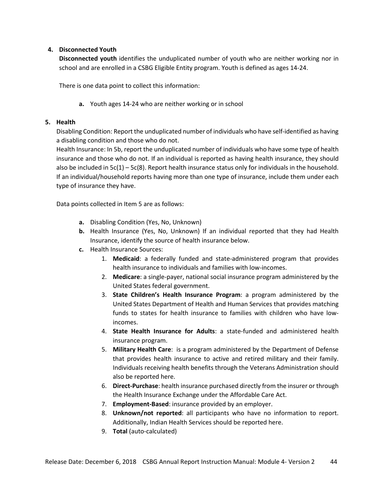#### **4. Disconnected Youth**

**Disconnected youth** identifies the unduplicated number of youth who are neither working nor in school and are enrolled in a CSBG Eligible Entity program. Youth is defined as ages 14-24.

There is one data point to collect this information:

**a.** Youth ages 14-24 who are neither working or in school

#### **5. Health**

Disabling Condition: Report the unduplicated number of individuals who have self-identified as having a disabling condition and those who do not.

Health Insurance: In 5b, report the unduplicated number of individuals who have some type of health insurance and those who do not. If an individual is reported as having health insurance, they should also be included in  $5c(1) - 5c(8)$ . Report health insurance status only for individuals in the household. If an individual/household reports having more than one type of insurance, include them under each type of insurance they have.

Data points collected in Item 5 are as follows:

- **a.** Disabling Condition (Yes, No, Unknown)
- **b.** Health Insurance (Yes, No, Unknown) If an individual reported that they had Health Insurance, identify the source of health insurance below.
- **c.** Health Insurance Sources:
	- 1. **Medicaid**: a federally funded and state-administered program that provides health insurance to individuals and families with low-incomes.
	- 2. **Medicare**: a single-payer, national social insurance program administered by the United States federal government.
	- 3. **State Children's Health Insurance Program**: a program administered by the United States Department of Health and Human Services that provides matching funds to states for health insurance to families with children who have lowincomes.
	- 4. **State Health Insurance for Adults**: a state-funded and administered health insurance program.
	- 5. **Military Health Care**: is a program administered by the Department of Defense that provides health insurance to active and retired military and their family. Individuals receiving health benefits through the Veterans Administration should also be reported here.
	- 6. **Direct-Purchase**: health insurance purchased directly from the insurer or through the Health Insurance Exchange under the Affordable Care Act.
	- 7. **Employment-Based**: insurance provided by an employer.
	- 8. **Unknown/not reported**: all participants who have no information to report. Additionally, Indian Health Services should be reported here.
	- 9. **Total** (auto-calculated)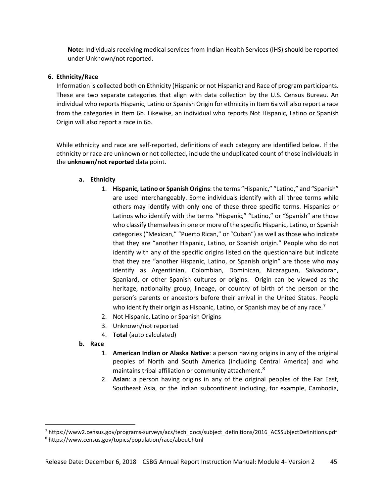**Note:** Individuals receiving medical services from Indian Health Services (IHS) should be reported under Unknown/not reported.

#### **6. Ethnicity/Race**

Information is collected both on Ethnicity (Hispanic or not Hispanic) and Race of program participants. These are two separate categories that align with data collection by the U.S. Census Bureau. An individual who reports Hispanic, Latino or Spanish Origin for ethnicity in Item 6a will also report a race from the categories in Item 6b. Likewise, an individual who reports Not Hispanic, Latino or Spanish Origin will also report a race in 6b.

While ethnicity and race are self-reported, definitions of each category are identified below. If the ethnicity or race are unknown or not collected, include the unduplicated count of those individuals in the **unknown/not reported** data point.

#### **a. Ethnicity**

- 1. **Hispanic, Latino or Spanish Origins**: the terms "Hispanic," "Latino," and "Spanish" are used interchangeably. Some individuals identify with all three terms while others may identify with only one of these three specific terms. Hispanics or Latinos who identify with the terms "Hispanic," "Latino," or "Spanish" are those who classify themselves in one or more of the specific Hispanic, Latino, or Spanish categories ("Mexican," "Puerto Rican," or "Cuban") as well as those who indicate that they are "another Hispanic, Latino, or Spanish origin." People who do not identify with any of the specific origins listed on the questionnaire but indicate that they are "another Hispanic, Latino, or Spanish origin" are those who may identify as Argentinian, Colombian, Dominican, Nicaraguan, Salvadoran, Spaniard, or other Spanish cultures or origins. Origin can be viewed as the heritage, nationality group, lineage, or country of birth of the person or the person's parents or ancestors before their arrival in the United States. People who identify their origin as Hispanic, Latino, or Spanish may be of any race.<sup>[7](#page-45-0)</sup>
- 2. Not Hispanic, Latino or Spanish Origins
- 3. Unknown/not reported
- 4. **Total** (auto calculated)
- **b. Race**
	- 1. **American Indian or Alaska Native**: a person having origins in any of the original peoples of North and South America (including Central America) and who maintains tribal affiliation or community attachment.<sup>[8](#page-45-1)</sup>
	- 2. **Asian**: a person having origins in any of the original peoples of the Far East, Southeast Asia, or the Indian subcontinent including, for example, Cambodia,

<span id="page-45-1"></span><span id="page-45-0"></span> <sup>7</sup> https://www2.census.gov/programs-surveys/acs/tech\_docs/subject\_definitions/2016\_ACSSubjectDefinitions.pdf <sup>8</sup> https://www.census.gov/topics/population/race/about.html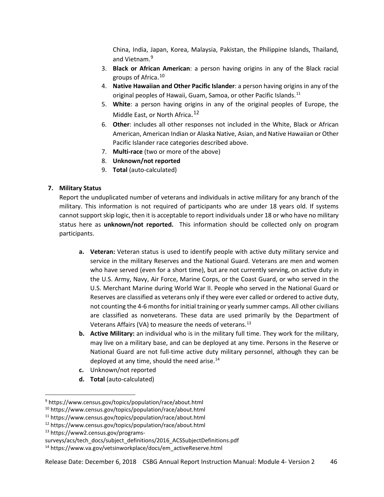China, India, Japan, Korea, Malaysia, Pakistan, the Philippine Islands, Thailand, and Vietnam. [9](#page-46-0)

- 3. **Black or African American**: a person having origins in any of the Black racial groups of Africa. [10](#page-46-1)
- 4. **Native Hawaiian and Other Pacific Islander**: a person having origins in any of the original peoples of Hawaii, Guam, Samoa, or other Pacific Islands.<sup>[11](#page-46-2)</sup>
- 5. **White**: a person having origins in any of the original peoples of Europe, the Middle East, or North Africa.<sup>[12](#page-46-3)</sup>
- 6. **Other**: includes all other responses not included in the White, Black or African American, American Indian or Alaska Native, Asian, and Native Hawaiian or Other Pacific Islander race categories described above.
- 7. **Multi-race** (two or more of the above)
- 8. **Unknown/not reported**
- 9. **Total** (auto-calculated)

## **7. Military Status**

Report the unduplicated number of veterans and individuals in active military for any branch of the military. This information is not required of participants who are under 18 years old. If systems cannot support skip logic, then it is acceptable to report individuals under 18 or who have no military status here as **unknown/not reported.** This information should be collected only on program participants.

- **a. Veteran:** Veteran status is used to identify people with active duty military service and service in the military Reserves and the National Guard. Veterans are men and women who have served (even for a short time), but are not currently serving, on active duty in the U.S. Army, Navy, Air Force, Marine Corps, or the Coast Guard, or who served in the U.S. Merchant Marine during World War II. People who served in the National Guard or Reserves are classified as veterans only if they were ever called or ordered to active duty, not counting the 4-6 months for initial training or yearly summer camps. All other civilians are classified as nonveterans. These data are used primarily by the Department of Veterans Affairs (VA) to measure the needs of veterans.<sup>[13](#page-46-4)</sup>
- **b. Active Military:** an individual who is in the military full time. They work for the military, may live on a military base, and can be deployed at any time. Persons in the Reserve or National Guard are not full-time active duty military personnel, although they can be deployed at any time, should the need arise. $14$
- **c.** Unknown/not reported
- **d. Total** (auto-calculated)

<span id="page-46-0"></span> <sup>9</sup> https://www.census.gov/topics/population/race/about.html

<span id="page-46-1"></span><sup>10</sup> https://www.census.gov/topics/population/race/about.html

<span id="page-46-2"></span><sup>11</sup> https://www.census.gov/topics/population/race/about.html

<span id="page-46-3"></span><sup>12</sup> https://www.census.gov/topics/population/race/about.html

<span id="page-46-4"></span><sup>13</sup> https://www2.census.gov/programs-

surveys/acs/tech\_docs/subject\_definitions/2016\_ACSSubjectDefinitions.pdf

<span id="page-46-5"></span><sup>14</sup> https://www.va.gov/vetsinworkplace/docs/em\_activeReserve.html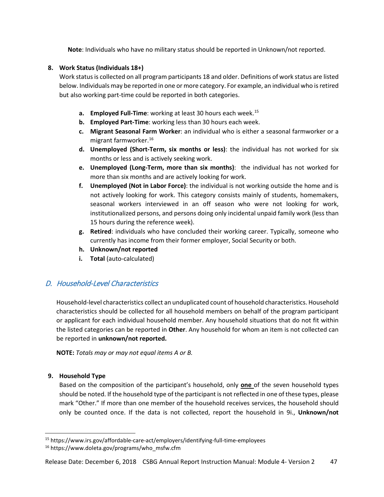**Note**: Individuals who have no military status should be reported in Unknown/not reported.

## **8. Work Status (Individuals 18+)**

Work status is collected on all program participants 18 and older. Definitions of work status are listed below. Individuals may be reported in one or more category. For example, an individual who is retired but also working part-time could be reported in both categories.

- **a. Employed Full-Time**: working at least 30 hours each week.<sup>[15](#page-47-1)</sup>
- **b. Employed Part-Time**: working less than 30 hours each week.
- **c. Migrant Seasonal Farm Worker**: an individual who is either a seasonal farmworker or a migrant farmworker. [16](#page-47-2)
- **d. Unemployed (Short-Term, six months or less)**: the individual has not worked for six months or less and is actively seeking work.
- **e. Unemployed (Long-Term, more than six months)**: the individual has not worked for more than six months and are actively looking for work.
- **f. Unemployed (Not in Labor Force)**: the individual is not working outside the home and is not actively looking for work. This category consists mainly of students, homemakers, seasonal workers interviewed in an off season who were not looking for work, institutionalized persons, and persons doing only incidental unpaid family work (less than 15 hours during the reference week).
- **g. Retired**: individuals who have concluded their working career. Typically, someone who currently has income from their former employer, Social Security or both.
- **h. Unknown/not reported**
- **i. Total** (auto-calculated)

## <span id="page-47-0"></span>D. Household-Level Characteristics

Household-level characteristics collect an unduplicated count of household characteristics. Household characteristics should be collected for all household members on behalf of the program participant or applicant for each individual household member. Any household situations that do not fit within the listed categories can be reported in **Other**. Any household for whom an item is not collected can be reported in **unknown/not reported.** 

**NOTE:** *Totals may or may not equal items A or B.*

## **9. Household Type**

Based on the composition of the participant's household, only **one** of the seven household types should be noted. If the household type of the participant is not reflected in one of these types, please mark "Other." If more than one member of the household receives services, the household should only be counted once. If the data is not collected, report the household in 9i., **Unknown/not** 

<span id="page-47-1"></span> <sup>15</sup> https://www.irs.gov/affordable-care-act/employers/identifying-full-time-employees

<span id="page-47-2"></span><sup>16</sup> https://www.doleta.gov/programs/who\_msfw.cfm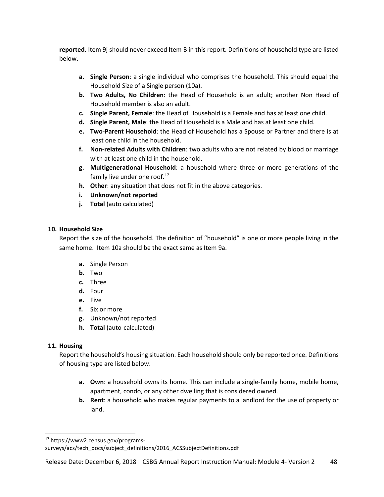**reported.** Item 9j should never exceed Item B in this report. Definitions of household type are listed below.

- **a. Single Person**: a single individual who comprises the household. This should equal the Household Size of a Single person (10a).
- **b. Two Adults, No Children**: the Head of Household is an adult; another Non Head of Household member is also an adult.
- **c. Single Parent, Female**: the Head of Household is a Female and has at least one child.
- **d. Single Parent, Male**: the Head of Household is a Male and has at least one child.
- **e. Two-Parent Household**: the Head of Household has a Spouse or Partner and there is at least one child in the household.
- **f. Non-related Adults with Children**: two adults who are not related by blood or marriage with at least one child in the household.
- **g. Multigenerational Household**: a household where three or more generations of the family live under one roof. $17$
- **h. Other**: any situation that does not fit in the above categories.
- **i. Unknown/not reported**
- **j. Total** (auto calculated)

#### **10. Household Size**

Report the size of the household. The definition of "household" is one or more people living in the same home. Item 10a should be the exact same as Item 9a.

- **a.** Single Person
- **b.** Two
- **c.** Three
- **d.** Four
- **e.** Five
- **f.** Six or more
- **g.** Unknown/not reported
- **h. Total** (auto-calculated)

## **11. Housing**

Report the household's housing situation. Each household should only be reported once. Definitions of housing type are listed below.

- **a. Own**: a household owns its home. This can include a single-family home, mobile home, apartment, condo, or any other dwelling that is considered owned.
- **b. Rent**: a household who makes regular payments to a landlord for the use of property or land.

<span id="page-48-0"></span> <sup>17</sup> https://www2.census.gov/programs-

surveys/acs/tech\_docs/subject\_definitions/2016\_ACSSubjectDefinitions.pdf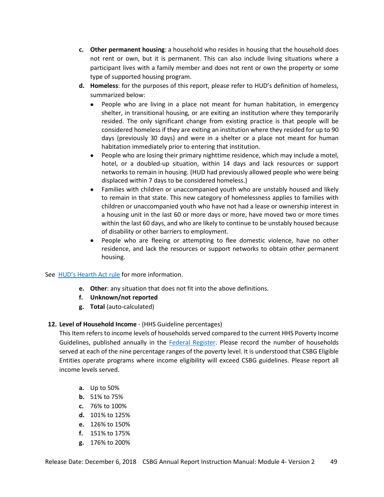- **c. Other permanent housing**: a household who resides in housing that the household does not rent or own, but it is permanent. This can also include living situations where a participant lives with a family member and does not rent or own the property or some type of supported housing program.
- **d. Homeless**: for the purposes of this report, please refer to HUD's definition of homeless, summarized below:
	- People who are living in a place not meant for human habitation, in emergency shelter, in transitional housing, or are exiting an institution where they temporarily resided. The only significant change from existing practice is that people will be considered homeless if they are exiting an institution where they resided for up to 90 days (previously 30 days) and were in a shelter or a place not meant for human habitation immediately prior to entering that institution.
	- People who are losing their primary nighttime residence, which may include a motel, hotel, or a doubled-up situation, within 14 days and lack resources or support networks to remain in housing. (HUD had previously allowed people who were being displaced within 7 days to be considered homeless.)
	- Families with children or unaccompanied youth who are unstably housed and likely to remain in that state. This new category of homelessness applies to families with children or unaccompanied youth who have not had a lease or ownership interest in a housing unit in the last 60 or more days or more, have moved two or more times within the last 60 days, and who are likely to continue to be unstably housed because of disability or other barriers to employment.
	- People who are fleeing or attempting to flee domestic violence, have no other residence, and lack the resources or support networks to obtain other permanent housing.

See [HUD's Hearth Act rule](https://www.hudexchange.info/resources/documents/HEARTH_HomelessDefinition_FinalRule.pdf) for more information.

- **e. Other**: any situation that does not fit into the above definitions.
- **f. Unknown/not reported**
- **g. Total** (auto-calculated)

#### **12. Level of Household Income** - (HHS Guideline percentages)

This Item refers to income levels of households served compared to the current HHS Poverty Income Guidelines, published annually in the [Federal Register.](https://www.gpo.gov/fdsys/pkg/FR-2016-01-25/pdf/2016-01450.pdf) Please record the number of households served at each of the nine percentage ranges of the poverty level. It is understood that CSBG Eligible Entities operate programs where income eligibility will exceed CSBG guidelines. Please report all income levels served.

- **a.** Up to 50%
- **b.** 51% to 75%
- **c.** 76% to 100%
- **d.** 101% to 125%
- **e.** 126% to 150%
- **f.** 151% to 175%
- **g.** 176% to 200%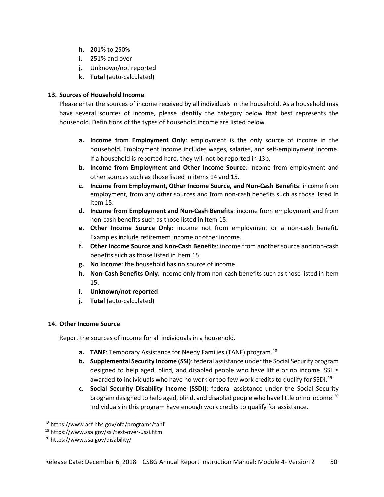- **h.** 201% to 250%
- **i.** 251% and over
- **j.** Unknown/not reported
- **k. Total** (auto-calculated)

## **13. Sources of Household Income**

Please enter the sources of income received by all individuals in the household. As a household may have several sources of income, please identify the category below that best represents the household. Definitions of the types of household income are listed below.

- **a. Income from Employment Only**: employment is the only source of income in the household. Employment income includes wages, salaries, and self-employment income. If a household is reported here, they will not be reported in 13b.
- **b. Income from Employment and Other Income Source**: income from employment and other sources such as those listed in items 14 and 15.
- **c. Income from Employment, Other Income Source, and Non-Cash Benefits**: income from employment, from any other sources and from non-cash benefits such as those listed in Item 15.
- **d. Income from Employment and Non-Cash Benefits**: income from employment and from non-cash benefits such as those listed in Item 15.
- **e. Other Income Source Only**: income not from employment or a non-cash benefit. Examples include retirement income or other income.
- **f. Other Income Source and Non-Cash Benefits**: income from another source and non-cash benefits such as those listed in Item 15.
- **g. No Income**: the household has no source of income.
- **h. Non-Cash Benefits Only**: income only from non-cash benefits such as those listed in Item 15.
- **i. Unknown/not reported**
- **j. Total** (auto-calculated)

#### **14. Other Income Source**

Report the sources of income for all individuals in a household.

- **a. TANF**: Temporary Assistance for Needy Families (TANF) program.<sup>[18](#page-50-0)</sup>
- **b. Supplemental Security Income (SSI)**: federal assistance under the Social Security program designed to help aged, blind, and disabled people who have little or no income. SSI is awarded to individuals who have no work or too few work credits to qualify for SSDI.<sup>[19](#page-50-1)</sup>
- **c. Social Security Disability Income (SSDI)**: federal assistance under the Social Security program designed to help aged, blind, and disabled people who have little or no income.<sup>[20](#page-50-2)</sup> Individuals in this program have enough work credits to qualify for assistance.

<span id="page-50-0"></span> <sup>18</sup> https://www.acf.hhs.gov/ofa/programs/tanf

<span id="page-50-1"></span><sup>19</sup> https://www.ssa.gov/ssi/text-over-ussi.htm

<span id="page-50-2"></span><sup>20</sup> https://www.ssa.gov/disability/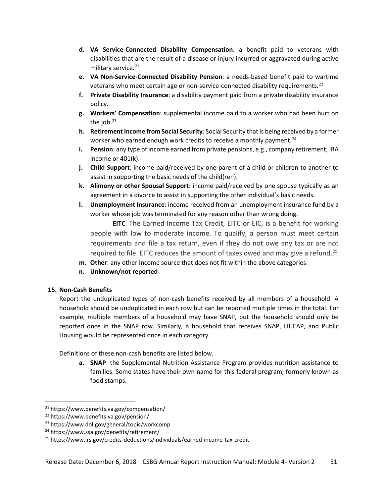- **d. VA Service-Connected Disability Compensation**: a benefit paid to veterans with disabilities that are the result of a disease or injury incurred or aggravated during active military service.<sup>[21](#page-51-0)</sup>
- **e. VA Non-Service-Connected Disability Pension**: a needs-based benefit paid to wartime veterans who meet certain age or non-service-connected disability requirements.<sup>[22](#page-51-1)</sup>
- **f. Private Disability Insurance**: a disability payment paid from a private disability insurance policy.
- **g. Workers' Compensation**: supplemental income paid to a worker who had been hurt on the job.<sup>[23](#page-51-2)</sup>
- **h. Retirement Income from Social Security**: Social Security that is being received by a former worker who earned enough work credits to receive a monthly payment.<sup>24</sup>
- **i. Pension**: any type of income earned from private pensions, e.g., company retirement, IRA income or 401(k).
- **j. Child Support**: income paid/received by one parent of a child or children to another to assist in supporting the basic needs of the child(ren).
- **k. Alimony or other Spousal Support**: income paid/received by one spouse typically as an agreement in a divorce to assist in supporting the other individual's basic needs.
- **l. Unemployment Insurance**: income received from an unemployment insurance fund by a worker whose job was terminated for any reason other than wrong doing.

**EITC**: The Earned Income Tax Credit, EITC or EIC, is a benefit for working people with low to moderate income. To qualify, a person must meet certain requirements and file a tax return, even if they do not owe any tax or are not required to file. EITC reduces the amount of taxes owed and may give a refund.<sup>25</sup>

- **m. Other**: any other income source that does not fit within the above categories.
- **n. Unknown/not reported**

#### **15. Non-Cash Benefits**

Report the unduplicated types of non-cash benefits received by all members of a household. A household should be unduplicated in each row but can be reported multiple times in the total. For example, multiple members of a household may have SNAP, but the household should only be reported once in the SNAP row. Similarly, a household that receives SNAP, LIHEAP, and Public Housing would be represented once in each category.

Definitions of these non-cash benefits are listed below.

**a. SNAP**: the Supplemental Nutrition Assistance Program provides nutrition assistance to families. Some states have their own name for this federal program, formerly known as food stamps.

<span id="page-51-0"></span> <sup>21</sup> https://www.benefits.va.gov/compensation/

<span id="page-51-1"></span><sup>22</sup> https://www.benefits.va.gov/pension/

<span id="page-51-2"></span><sup>23</sup> https://www.dol.gov/general/topic/workcomp

<span id="page-51-3"></span><sup>24</sup> https://www.ssa.gov/benefits/retirement/

<span id="page-51-4"></span><sup>25</sup> https://www.irs.gov/credits-deductions/individuals/earned-income-tax-credit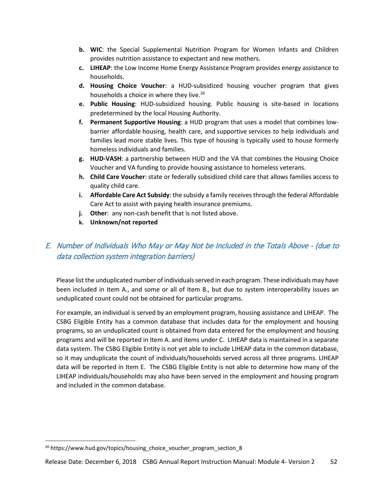- **b. WIC**: the Special Supplemental Nutrition Program for Women Infants and Children provides nutrition assistance to expectant and new mothers.
- **c. LIHEAP**: the Low Income Home Energy Assistance Program provides energy assistance to households.
- **d. Housing Choice Voucher**: a HUD-subsidized housing voucher program that gives households a choice in where they live.<sup>26</sup>
- **e. Public Housing**: HUD-subsidized housing. Public housing is site-based in locations predetermined by the local Housing Authority.
- **f. Permanent Supportive Housing**: a HUD program that uses a model that combines lowbarrier affordable housing, health care, and supportive services to help individuals and families lead more stable lives. This type of housing is typically used to house formerly homeless individuals and families.
- **g. HUD-VASH**: a partnership between HUD and the VA that combines the Housing Choice Voucher and VA funding to provide housing assistance to homeless veterans.
- **h. Child Care Voucher**: state or federally subsidized child care that allows families access to quality child care.
- **i.** Affordable Care Act Subsidy: the subsidy a family receives through the federal Affordable Care Act to assist with paying health insurance premiums.
- **j. Other**: any non-cash benefit that is not listed above.
- **k. Unknown/not reported**

# <span id="page-52-0"></span>E. Number of Individuals Who May or May Not be Included in the Totals Above - (due to data collection system integration barriers)

Please list the unduplicated number of individuals served in each program. These individuals may have been included in Item A., and some or all of Item B., but due to system interoperability issues an unduplicated count could not be obtained for particular programs.

For example, an individual is served by an employment program, housing assistance and LIHEAP. The CSBG Eligible Entity has a common database that includes data for the employment and housing programs, so an unduplicated count is obtained from data entered for the employment and housing programs and will be reported in Item A. and items under C. LIHEAP data is maintained in a separate data system. The CSBG Eligible Entity is not yet able to include LIHEAP data in the common database, so it may unduplicate the count of individuals/households served across all three programs. LIHEAP data will be reported in Item E. The CSBG Eligible Entity is not able to determine how many of the LIHEAP individuals/households may also have been served in the employment and housing program and included in the common database.

<span id="page-52-1"></span> $26$  https://www.hud.gov/topics/housing\_choice\_voucher\_program\_section\_8